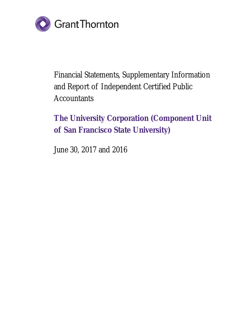

Financial Statements, Supplementary Information and Report of Independent Certified Public **Accountants** 

**The University Corporation (Component Unit of San Francisco State University)** 

June 30, 2017 and 2016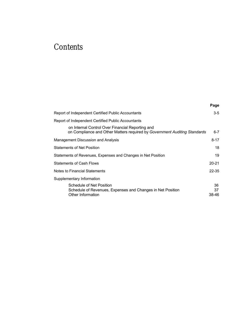# **Contents**

|                                                                                                                               | Page              |
|-------------------------------------------------------------------------------------------------------------------------------|-------------------|
| Report of Independent Certified Public Accountants                                                                            | $3 - 5$           |
| Report of Independent Certified Public Accountants                                                                            |                   |
| on Internal Control Over Financial Reporting and<br>on Compliance and Other Matters required by Government Auditing Standards | $6 - 7$           |
| Management Discussion and Analysis                                                                                            | $8 - 17$          |
| Statements of Net Position                                                                                                    | 18                |
| Statements of Revenues, Expenses and Changes in Net Position                                                                  | 19                |
| Statements of Cash Flows                                                                                                      | $20 - 21$         |
| Notes to Financial Statements                                                                                                 | $22 - 35$         |
| Supplementary Information                                                                                                     |                   |
| Schedule of Net Position<br>Schedule of Revenues, Expenses and Changes in Net Position<br>Other Information                   | 36<br>37<br>38-46 |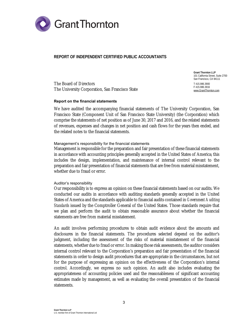

#### **REPORT OF INDEPENDENT CERTIFIED PUBLIC ACCOUNTANTS**

The Board of Directors The University Corporation, San Francisco State

**Report on the financial statements** 

101 California Street, Suite 2700 San Francisco, CA 94111 T 415.986.3900 F 415.986.3916 [www.GrantThornton.com](http://www.GrantThornton.com)

**Grant Thornton LLP** 

We have audited the accompanying financial statements of The University Corporation, San Francisco State (Component Unit of San Francisco State University) (the Corporation) which comprise the statements of net position as of June 30, 2017 and 2016, and the related statements of revenues, expenses and changes in net position and cash flows for the years then ended, and the related notes to the financial statements.

#### Management's responsibility for the financial statements

Management is responsible for the preparation and fair presentation of these financial statements in accordance with accounting principles generally accepted in the United States of America; this includes the design, implementation, and maintenance of internal control relevant to the preparation and fair presentation of financial statements that are free from material misstatement, whether due to fraud or error.

#### Auditor's responsibility

Our responsibility is to express an opinion on these financial statements based on our audits. We conducted our audits in accordance with auditing standards generally accepted in the United States of America and the standards applicable to financial audits contained in *Government Auditing Standards* issued by the Comptroller General of the United States. Those standards require that we plan and perform the audit to obtain reasonable assurance about whether the financial statements are free from material misstatement.

An audit involves performing procedures to obtain audit evidence about the amounts and disclosures in the financial statements. The procedures selected depend on the auditor's judgment, including the assessment of the risks of material misstatement of the financial statements, whether due to fraud or error. In making those risk assessments, the auditor considers internal control relevant to the Corporation's preparation and fair presentation of the financial statements in order to design audit procedures that are appropriate in the circumstances, but not for the purpose of expressing an opinion on the effectiveness of the Corporation's internal control. Accordingly, we express no such opinion. An audit also includes evaluating the appropriateness of accounting policies used and the reasonableness of significant accounting estimates made by management, as well as evaluating the overall presentation of the financial statements.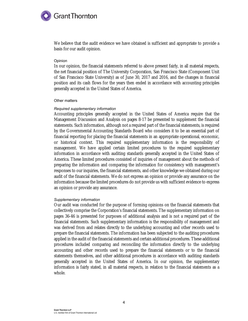# **Grant Thornton**

We believe that the audit evidence we have obtained is sufficient and appropriate to provide a basis for our audit opinion.

#### Opinion

In our opinion, the financial statements referred to above present fairly, in all material respects, the net financial position of The University Corporation, San Francisco State (Component Unit of San Francisco State University) as of June 30, 2017 and 2016, and the changes in financial position and its cash flows for the years then ended in accordance with accounting principles generally accepted in the United States of America.

#### Other matters

#### *Required supplementary information*

Accounting principles generally accepted in the United States of America require that the Management Discussion and Analysis on pages 8-17 be presented to supplement the financial statements. Such information, although not a required part of the financial statements, is required by the Governmental Accounting Standards Board who considers it to be an essential part of financial reporting for placing the financial statements in an appropriate operational, economic, or historical context. This required supplementary information is the responsibility of management. We have applied certain limited procedures to the required supplementary information in accordance with auditing standards generally accepted in the United States of America. These limited procedures consisted of inquiries of management about the methods of preparing the information and comparing the information for consistency with management's responses to our inquiries, the financial statements, and other knowledge we obtained during our audit of the financial statements. We do not express an opinion or provide any assurance on the information because the limited procedures do not provide us with sufficient evidence to express an opinion or provide any assurance.

#### *Supplementary information*

Our audit was conducted for the purpose of forming opinions on the financial statements that collectively comprise the Corporation's financial statements. The supplementary information on pages 36-46 is presented for purposes of additional analysis and is not a required part of the financial statements. Such supplementary information is the responsibility of management and was derived from and relates directly to the underlying accounting and other records used to prepare the financial statements. The information has been subjected to the auditing procedures applied in the audit of the financial statements and certain additional procedures. These additional procedures included comparing and reconciling the information directly to the underlying accounting and other records used to prepare the financial statements or to the financial statements themselves, and other additional procedures in accordance with auditing standards generally accepted in the United States of America. In our opinion, the supplementary information is fairly stated, in all material respects, in relation to the financial statements as a whole.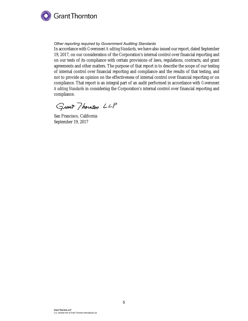

#### *Other reporting required by Government Auditing Standards*

In accordance with *Government Auditing Standards*, we have also issued our report, dated September 19, 2017, on our consideration of the Corporation's internal control over financial reporting and on our tests of its compliance with certain provisions of laws, regulations, contracts, and grant agreements and other matters. The purpose of that report is to describe the scope of our testing of internal control over financial reporting and compliance and the results of that testing, and not to provide an opinion on the effectiveness of internal control over financial reporting or on compliance. That report is an integral part of an audit performed in accordance with *Government Auditing Standards* in considering the Corporation's internal control over financial reporting and compliance.

Grant Thounton LLP

San Francisco, California September 19, 2017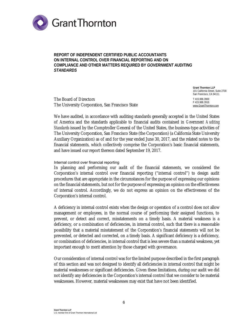

#### **REPORT OF INDEPENDENT CERTIFIED PUBLIC ACCOUNTANTS ON INTERNAL CONTROL OVER FINANCIAL REPORTING AND ON COMPLIANCE AND OTHER MATTERS REQUIRED BY** *GOVERNMENT AUDITING STANDARDS*

The Board of Directors The University Corporation, San Francisco State **Grant Thornton LLP**  101 California Street, Suite 2700 San Francisco, CA 94111 T 415.986.3900 F 415.986.3916 [www.GrantThornton.com](http://www.GrantThornton.com)

We have audited, in accordance with auditing standards generally accepted in the United States of America and the standards applicable to financial audits contained in *Government Auditing Standards* issued by the Comptroller General of the United States, the business-type activities of The University Corporation, San Francisco State (the Corporation) (a California State University Auxiliary Organization) as of and for the year ended June 30, 2017, and the related notes to the financial statements, which collectively comprise the Corporation's basic financial statements, and have issued our report thereon dated September 19, 2017.

#### Internal control over financial reporting

In planning and performing our audit of the financial statements, we considered the Corporation's internal control over financial reporting ("internal control") to design audit procedures that are appropriate in the circumstances for the purpose of expressing our opinions on the financial statements, but not for the purpose of expressing an opinion on the effectiveness of internal control. Accordingly, we do not express an opinion on the effectiveness of the Corporation's internal control.

A deficiency in internal control exists when the design or operation of a control does not allow management or employees, in the normal course of performing their assigned functions, to prevent, or detect and correct, misstatements on a timely basis. A material weakness is a deficiency, or a combination of deficiencies, in internal control, such that there is a reasonable possibility that a material misstatement of the Corporation's financial statements will not be prevented, or detected and corrected, on a timely basis. A significant deficiency is a deficiency, or combination of deficiencies, in internal control that is less severe than a material weakness, yet important enough to merit attention by those charged with governance.

Our consideration of internal control was for the limited purpose described in the first paragraph of this section and was not designed to identify all deficiencies in internal control that might be material weaknesses or significant deficiencies. Given these limitations, during our audit we did not identify any deficiencies in the Corporation's internal control that we consider to be material weaknesses. However, material weaknesses may exist that have not been identified.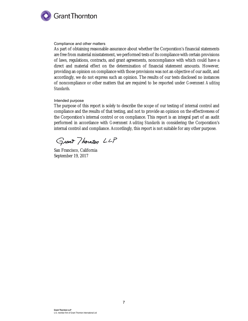

Compliance and other matters

As part of obtaining reasonable assurance about whether the Corporation's financial statements are free from material misstatement, we performed tests of its compliance with certain provisions of laws, regulations, contracts, and grant agreements, noncompliance with which could have a direct and material effect on the determination of financial statement amounts. However, providing an opinion on compliance with those provisions was not an objective of our audit, and accordingly, we do not express such an opinion. The results of our tests disclosed no instances of noncompliance or other matters that are required to be reported under *Government Auditing Standards*.

#### Intended purpose

The purpose of this report is solely to describe the scope of our testing of internal control and compliance and the results of that testing, and not to provide an opinion on the effectiveness of the Corporation's internal control or on compliance. This report is an integral part of an audit performed in accordance with *Government Auditing Standards* in considering the Corporation's internal control and compliance. Accordingly, this report is not suitable for any other purpose.

Grant Thornton LLP

San Francisco, California September 19, 2017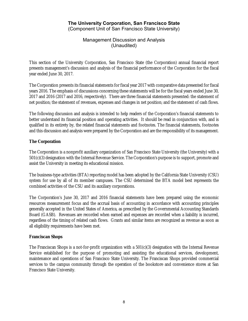Management Discussion and Analysis (Unaudited)

This section of the University Corporation, San Francisco State (the Corporation) annual financial report presents management's discussion and analysis of the financial performance of the Corporation for the fiscal year ended June 30, 2017.

The Corporation presents its financial statements for fiscal year 2017 with comparative data presented for fiscal years 2016. The emphasis of discussions concerning these statements will be for the fiscal years ended June 30, 2017 and 2016 (2017 and 2016, respectively). There are three financial statements presented: the statement of net position; the statement of revenues, expenses and changes in net position; and the statement of cash flows.

The following discussion and analysis is intended to help readers of the Corporation's financial statements to better understand its financial position and operating activities. It should be read in conjunction with, and is qualified in its entirety by, the related financial statements and footnotes. The financial statements, footnotes and this discussion and analysis were prepared by the Corporation and are the responsibility of its management.

### **The Corporation**

The Corporation is a nonprofit auxiliary organization of San Francisco State University (the University) with a 501(c)(3) designation with the Internal Revenue Service. The Corporation's purpose is to support, promote and assist the University in meeting its educational mission.

The business-type activities (BTA) reporting model has been adopted by the California State University (CSU) system for use by all of its member campuses. The CSU determined the BTA model best represents the combined activities of the CSU and its auxiliary corporations.

The Corporation's June 30, 2017 and 2016 financial statements have been prepared using the economic resources measurement focus and the accrual basis of accounting in accordance with accounting principles generally accepted in the United States of America, as prescribed by the Governmental Accounting Standards Board (GASB). Revenues are recorded when earned and expenses are recorded when a liability is incurred, regardless of the timing of related cash flows. Grants and similar items are recognized as revenue as soon as all eligibility requirements have been met.

#### **Franciscan Shops**

The Franciscan Shops is a not-for-profit organization with a 501(c)(3) designation with the Internal Revenue Service established for the purpose of promoting and assisting the educational services, development, maintenance and operations of San Francisco State University. The Franciscan Shops provided commercial services to the campus community through the operation of the bookstore and convenience stores at San Francisco State University.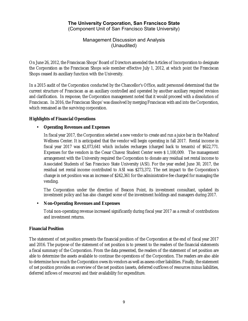Management Discussion and Analysis (Unaudited)

On June 26, 2012, the Franciscan Shops' Board of Directors amended the Articles of Incorporation to designate the Corporation as the Franciscan Shops sole member effective July 1, 2012, at which point the Franciscan Shops ceased its auxiliary function with the University.

In a 2015 audit of the Corporation conducted by the Chancellor's Office, audit personnel determined that the current structure of Franciscan as an auxiliary controlled and operated by another auxiliary required revision and clarification. In response, the Corporation management noted that it would proceed with a dissolution of Franciscan. In 2016, the Franciscan Shops' was dissolved by merging Franciscan with and into the Corporation, which remained as the surviving corporation.

#### **Highlights of Financial Operations**

### • **Operating Revenues and Expenses**

In fiscal year 2017, the Corporation selected a new vendor to create and run a juice bar in the Mashouf Wellness Center. It is anticipated that the vendor will begin operating in fall 2017. Rental income in fiscal year 2017 was \$2,073,641 which includes recharges (charged back to tenants) of \$622,771. Expenses for the vendors in the Cesar Chavez Student Center were \$ 1,100,009. The management arrangement with the University required the Corporation to donate any residual net rental income to Associated Students of San Francisco State University (ASI). For the year ended June 30, 2017, the residual net rental income contributed to ASI was \$273,372. The net impact to the Corporation's change in net position was an increase of \$242,361 for the administrative fee charged for managing the vending.

The Corporation under the direction of Beacon Point, its investment consultant, updated its investment policy and has also changed some of the investment holdings and managers during 2017.

#### • **Non-Operating Revenues and Expenses**

Total non-operating revenue increased significantly during fiscal year 2017 as a result of contributions and investment returns.

#### **Financial Position**

The statement of net position presents the financial position of the Corporation at the end of fiscal year 2017 and 2016. The purpose of the statement of net position is to present to the readers of the financial statements a fiscal summary of the Corporation. From the data presented, the readers of the statement of net position are able to determine the assets available to continue the operations of the Corporation. The readers are also able to determine how much the Corporation owes its vendors as well as assess other liabilities. Finally, the statement of net position provides an overview of the net position (assets, deferred outflows of resources minus liabilities, deferred inflows of resources) and their availability for expenditure.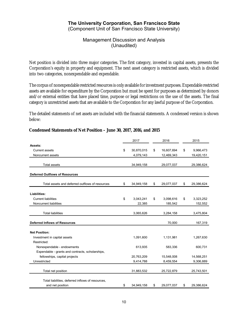(Component Unit of San Francisco State University)

### Management Discussion and Analysis (Unaudited)

Net position is divided into three major categories. The first category, invested in capital assets, presents the Corporation's equity in property and equipment. The next asset category is restricted assets, which is divided into two categories, nonexpendable and expendable.

The corpus of nonexpendable restricted resourcesis only available for investment purposes. Expendable restricted assets are available for expenditure by the Corporation but must be spent for purposes as determined by donors and/or external entities that have placed time, purpose or legal restrictions on the use of the assets. The final category is unrestricted assets that are available to the Corporation for any lawful purpose of the Corporation.

The detailed statements of net assets are included with the financial statements. A condensed version is shown below:

|                                                   | 2017<br>2016     |    |            | 2015             |
|---------------------------------------------------|------------------|----|------------|------------------|
| Assets:                                           |                  |    |            |                  |
| <b>Current assets</b>                             | \$<br>30,870,015 | \$ | 16,607,694 | \$<br>9,966,473  |
| Noncurrent assets                                 | 4,079,143        |    | 12,469,343 | 19,420,151       |
|                                                   |                  |    |            |                  |
| <b>Total assets</b>                               | 34,949,158       |    | 29,077,037 | 29,386,624       |
| <b>Deferred Outflows of Resources</b>             |                  |    |            |                  |
| Total assets and deferred outflows of resources   | \$<br>34,949,158 | \$ | 29,077,037 | \$<br>29,386,624 |
| Liabilities:                                      |                  |    |            |                  |
| <b>Current liabilities</b>                        | \$<br>3,043,241  | \$ | 3,098,616  | \$<br>3,323,252  |
| Noncurrent liabilities                            | 22,385           |    | 185,542    | 152,552          |
|                                                   |                  |    |            |                  |
| <b>Total liabilities</b>                          | 3,065,626        |    | 3,284,158  | 3,475,804        |
| <b>Deferred Inflows of Resources</b>              |                  |    | 70,000     | 167,319          |
|                                                   |                  |    |            |                  |
| <b>Net Position:</b>                              |                  |    |            |                  |
| Investment in capital assets                      | 1,091,600        |    | 1,131,981  | 1,267,630        |
| Restricted:                                       |                  |    |            |                  |
| Nonexpendable - endowments                        | 613,935          |    | 583,336    | 600,731          |
| Expendable - grants and contracts, scholarships,  |                  |    |            |                  |
| fellowships, capital projects                     | 20,763,209       |    | 15,548,008 | 14,568,251       |
| Unrestricted                                      | 9,414,788        |    | 8,459,554  | 9,306,889        |
|                                                   |                  |    |            |                  |
| Total net position                                | 31,883,532       |    | 25,722,879 | 25,743,501       |
|                                                   |                  |    |            |                  |
| Total liabilities, deferred inflows of resources, |                  |    |            |                  |
| and net position                                  | \$<br>34,949,158 | \$ | 29,077,037 | \$<br>29,386,624 |

#### **Condensed Statements of Net Position – June 30, 2017, 2016, and 2015**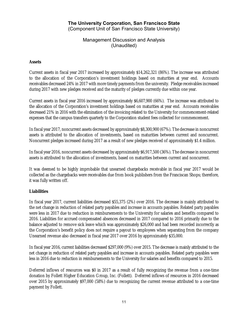Management Discussion and Analysis (Unaudited)

#### **Assets**

Current assets in fiscal year 2017 increased by approximately \$14,262,321 (86%). The increase was attributed to the allocation of the Corporation's investment holdings based on maturities at year end. Accounts receivables decreased 24% in 2017 with more timely payments from the university. Pledge receivables increased during 2017 with new pledges received and the maturity of pledges currently due within one year.

Current assets in fiscal year 2016 increased by approximately \$6,607,900 (66%). The increase was attributed to the allocation of the Corporation's investment holdings based on maturities at year end. Accounts receivables decreased 21% in 2016 with the elimination of the invoicing related to the University for commencement-related expenses that the campus transfers quarterly to the Corporation student fees collected for commencement.

In fiscal year 2017, noncurrent assets decreased by approximately \$8,300,900 (67%). The decrease in noncurrent assets is attributed to the allocation of investments, based on maturities between current and noncurrent. Noncurrent pledges increased during 2017 as a result of new pledges received of approximately \$1.4 million.

In fiscal year 2016, noncurrent assets decreased by approximately \$6,917,500 (36%). The decrease in noncurrent assets is attributed to the allocation of investments, based on maturities between current and noncurrent.

It was deemed to be highly improbable that unearned chargebacks receivable in fiscal year 2017 would be collected as the chargebacks were receivables due from book publishers from the Franciscan Shops; therefore, it was fully written off.

#### **Liabilities**

In fiscal year 2017, current liabilities decreased \$55,375 (2%) over 2016. The decrease is mainly attributed to the net change in reduction of related party payables and increase in accounts payables. Related party payables were less in 2017 due to reduction in reimbursements to the University for salaries and benefits compared to 2016. Liabilities for accrued compensated absences decreased in 2017 compared to 2016 primarily due to the balance adjusted to remove sick leave which was approximately \$26,000 and had been recorded incorrectly as the Corporation's benefit policy does not require a payout to employees when separating from the company Unearned revenue also decreased in fiscal year 2017 over 2016 by approximately \$35,000.

In fiscal year 2016, current liabilities decreased \$297,000 (9%) over 2015. The decrease is mainly attributed to the net change in reduction of related party payables and increase in accounts payables. Related party payables were less in 2016 due to reduction in reimbursements to the University for salaries and benefits compared to 2015.

Deferred inflows of resources was \$0 in 2017 as a result of fully recognizing the revenue from a one-time donation by Follett Higher Education Group, Inc. (Follett). Deferred inflows of resources in 2016 decreased over 2015 by approximately \$97,000 (58%) due to recognizing the current revenue attributed to a one-time payment by Follett.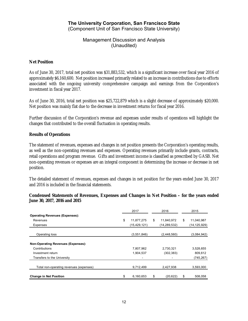### Management Discussion and Analysis (Unaudited)

#### **Net Position**

As of June 30, 2017, total net position was \$31,883,532, which is a significant increase over fiscal year 2016 of approximately \$6,160,600. Net position increased primarily related to an increase in contributions due to efforts associated with the ongoing university comprehensive campaign and earnings from the Corporation's investment in fiscal year 2017.

As of June 30, 2016, total net position was \$25,722,879 which is a slight decrease of approximately \$20,000. Net position was mainly flat due to the decrease in investment returns for fiscal year 2016.

Further discussion of the Corporation's revenue and expenses under results of operations will highlight the changes that contributed to the overall fluctuation in operating results.

#### **Results of Operations**

The statement of revenues, expenses and changes in net position presents the Corporation's operating results, as well as the non-operating revenues and expenses. Operating revenues primarily include grants, contracts, retail operations and program revenue. Gifts and investment income is classified as prescribed by GASB. Net non-operating revenues or expenses are an integral component in determining the increase or decrease in net position.

The detailed statement of revenues, expenses and changes in net position for the years ended June 30, 2017 and 2016 is included in the financial statements.

#### **Condensed Statements of Revenues, Expenses and Changes in Net Position – for the years ended June 30, 2017, 2016 and 2015**

|                                           | 2017             | 2016             | 2015             |
|-------------------------------------------|------------------|------------------|------------------|
| <b>Operating Revenues (Expenses):</b>     |                  |                  |                  |
| Revenues                                  | \$<br>11,877,275 | \$<br>11,840,972 | \$<br>11,040,987 |
| Expenses                                  | (15, 429, 121)   | (14, 289, 532)   | (14,125,929)     |
| Operating loss                            | (3,551,846)      | (2,448,560)      | (3,084,942)      |
| <b>Non-Operating Revenues (Expenses):</b> |                  |                  |                  |
| Contributions                             | 7,807,962        | 2,730,321        | 3,528,655        |
| Investment return                         | 1,904,537        | (302, 383)       | 809,612          |
| Transfers to the University               |                  |                  | (745, 267)       |
| Total non-operating revenues (expenses)   | 9,712,499        | 2,427,938        | 3,593,000        |
| <b>Change in Net Position</b>             | \$<br>6,160,653  | \$<br>(20, 622)  | \$<br>508,058    |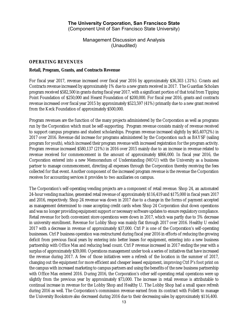Management Discussion and Analysis (Unaudited)

#### **OPERATING REVENUES**

#### **Retail, Program, Grants, and Contracts Revenue**

For fiscal year 2017, revenue increased over fiscal year 2016 by approximately \$36,303 (.31%). Grants and Contracts revenue increased by approximately 1% due to a new grants received in 2017. The Guardian Scholars program received \$582,500 in grants during fiscal year 2017, with a significant portion of that total from Tipping Point Foundation of \$250,000 and Hearst Foundation of \$200,000. For fiscal year 2016, grants and contracts revenue increased over fiscal year 2015 by approximately \$523,597 (41%) primarily due to a new grant received from the Keck Foundation of approximately \$500,000.

Program revenues are the function of the many projects administered by the Corporation as well as programs run by the Corporation which must be self-supporting. Program revenue consists mainly of revenue received to support campus programs and student scholarships. Program revenue increased slightly by \$65,407(2%) in 2017 over 2016. Revenue did increase for programs administered by the Corporation such as BAYSF (sailing program for youth), which increased their program revenue with increased registration for the program activity. Program revenue increased \$580,137 (21%) in 2016 over 2015 mainly due to an increase in revenue related to revenue received for commencement in the amount of approximately \$866,000. In fiscal year 2016, the Corporation entered into a new Memorandum of Understanding (MOU) with the University as a business partner to manage commencement, directing all expenses through the Corporation thereby receiving the fees collected for that event. Another component of the increased program revenue is the revenue the Corporation receives for accounting services it provides to two auxiliaries on campus.

The Corporation's self-operating vending projects are a component of retail revenue. Shop 24, an automated 24-hour vending machine, generated retail revenue of approximately \$116,419 and \$175,000 in fiscal years 2017 and 2016, respectively. Shop 24 revenue was down in 2017 due to a change in the forms of payment accepted as management determined to cease accepting credit cards when Shop 24 Corporation shut down operations and was no longer providing equipment support or necessary software updates to ensure regulatory compliance. Retail revenue for both convenient store operations were down in 2017, which was partly due to 5% decrease in university enrollment. Revenue for Lobby Shop was mainly flat through 2017 over 2016. Healthy U ended 2017 with a decrease in revenue of approximately \$37,000. Ctrl P is one of the Corporation's self-operating businesses. Ctrl P business operation was restructured during fiscal year 2016 in efforts of reducing the growing deficit from previous fiscal years by entering into better leases for equipment, entering into a new business partnership with Office Max and reducing head count. Ctrl P revenue increased in 2017 ending the year with a surplus of approximately \$39,000. Operations management under took a series of initiatives that have increased the revenue during 2017. A few of those initiatives were a refresh of the location in the summer of 2017, changing out the equipment for more efficient and cheaper leased equipment, improving Ctrl P's foot print on the campus with increased marketing to campus partners and using the benefits of the new business partnership with Office Max entered 2016. During 2016, the Corporation's other self-operating retail operations were up slightly from the previous year by approximately \$73,000. The increase in retail revenue is attributable to continual increase in revenue for the Lobby Shop and Healthy U. The Lobby Shop had a small space refresh during 2016 as well. The Corporation's commission revenue earned from its contract with Follett to manage the University Bookstore also decreased during 2016 due to their decreasing sales by approximately \$116,400.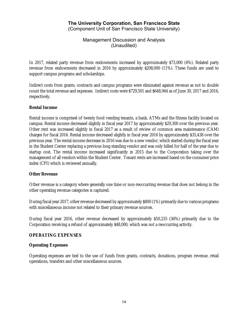Management Discussion and Analysis (Unaudited)

In 2017, related party revenue from endowments increased by approximately \$73,000 (4%). Related party revenue from endowments decreased in 2016 by approximately \$208,000 (11%). These funds are used to support campus programs and scholarships.

Indirect costs from grants, contracts and campus programs were eliminated against revenue as not to double count the total revenue and expenses. Indirect costs were \$729,501 and \$648,944 as of June 30, 2017 and 2016, respectively.

#### **Rental Income**

Rental income is comprised of twenty food vending tenants, a bank, ATMs and the fitness facility located on campus. Rental income decreased slightly in fiscal year 2017 by approximately \$29,300 over the previous year. Other rent was increased slightly in fiscal 2017 as a result of review of common area maintenance (CAM) charges for fiscal 2016. Rental income decreased slightly in fiscal year 2016 by approximately \$35,438 over the previous year. The rental income decrease in 2016 was due to a new vendor, which started during the fiscal year in the Student Center replacing a previous long standing vendor and was only billed for half of the year due to startup cost. The rental income increased significantly in 2015 due to the Corporation taking over the management of all vendors within the Student Center. Tenant rents are increased based on the consumer price index (CPI) which is reviewed annually.

#### **Other Revenue**

Other revenue is a category where generally one time or non-reoccurring revenue that does not belong in the other operating revenue categories is captured.

During fiscal year 2017, other revenue decreased by approximately \$800 (1%) primarily due to various programs with miscellaneous income not related to their primary revenue sources.

During fiscal year 2016, other revenue decreased by approximately \$50,235 (36%) primarily due to the Corporation receiving a refund of approximately \$48,000, which was not a reoccurring activity.

#### **OPERATING EXPENSES**

#### **Operating Expenses**

Operating expenses are tied to the use of funds from grants, contracts, donations, program revenue, retail operations, transfers and other miscellaneous sources.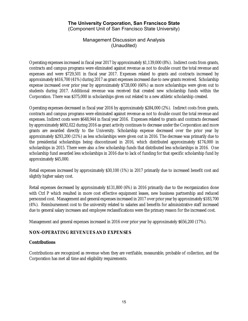(Component Unit of San Francisco State University)

Management Discussion and Analysis (Unaudited)

Operating expenses increased in fiscal year 2017 by approximately \$1,139,000 (8%). Indirect costs from grants, contracts and campus programs were eliminated against revenue as not to double count the total revenue and expenses and were \$729,501 in fiscal year 2017. Expenses related to grants and contracts increased by approximately \$416,700 (41%) during 2017 as grant expenses increased due to new grants received. Scholarship expense increased over prior year by approximately \$728,000 (66%) as more scholarships were given out to students during 2017. Additional revenue was received that created new scholarship funds within the Corporation. There was \$375,000 in scholarships given out related to a new athletic scholarship created.

Operating expenses decreased in fiscal year 2016 by approximately \$284,000 (2%). Indirect costs from grants, contracts and campus programs were eliminated against revenue as not to double count the total revenue and expenses. Indirect costs were \$648,944 in fiscal year 2016. Expenses related to grants and contracts decreased by approximately \$692,022 during 2016 as grant activity continues to decrease under the Corporation and more grants are awarded directly to the University. Scholarship expense decreased over the prior year by approximately \$293,200 (21%) as less scholarships were given out in 2016. The decrease was primarily due to the presidential scholarships being discontinued in 2016, which distributed approximately \$174,000 in scholarships in 2015. There were also a few scholarship funds that distributed less scholarships in 2016. One scholarship fund awarded less scholarships in 2016 due to lack of funding for that specific scholarship fund by approximately \$45,000.

Retail expenses increased by approximately \$30,100 (1%) in 2017 primarily due to increased benefit cost and slightly higher salary cost.

Retail expenses decreased by approximately \$131,800 (6%) in 2016 primarily due to the reorganization done with Ctrl P which resulted in more cost effective equipment leases, new business partnership and reduced personnel cost. Management and general expenses increased in 2017 over prior year by approximately \$183,700 (4%). Reimbursement cost to the university related to salaries and benefits for administrative staff increased due to general salary increases and employee reclassifications were the primary reason for the increased cost.

Management and general expenses increased in 2016 over prior year by approximately \$656,200 (17%).

#### **NON-OPERATING REVENUES AND EXPENSES**

#### **Contributions**

Contributions are recognized as revenue when they are verifiable, measurable, probable of collection, and the Corporation has met all time and eligibility requirements.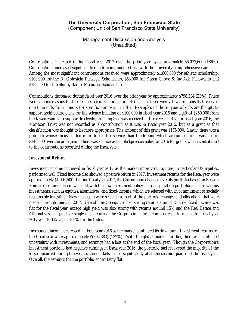(Component Unit of San Francisco State University)

Management Discussion and Analysis (Unaudited)

Contributions increased during fiscal year 2017 over the prior year by approximately \$5,077,600 (186%). Contributions increased significantly due to continuing efforts with the university comprehensive campaign. Among the most significant contributions received were approximately \$1,800,000 for athletic scholarship, \$100,000 for the D. Goldstein Paralegal Scholarship, \$53,000 for Karen Grove & Jay Ach Fellowship and \$189,500 for the Shirley Barnet Memorial Scholarship.

Contributions decreased during fiscal year 2016 over the prior year by approximately \$798,334 (23%). There were various reasons for the decline in contributions for 2016, such as there were a few programs that received one time gifts from donors for specific purposes in 2015. Examples of those types of gifts are the gift to support architecture plans for the science building of \$100,000 in fiscal year 2015 and a gift of \$250,000 from the Kwan Family to support leadership training that was received in fiscal year 2015. In fiscal year 2016, the Morrison Trust was not recorded as a contribution as it was in fiscal year 2015, but as a grant as that classification was thought to be more appropriate. The amount of this grant was \$175,000. Lastly, there was a program whose focus shifted more to fee for service than fundraising which accounted for a variance of \$140,000 over the prior year. There was an increase in pledge receivables for 2016 for grants which contributed to the contributions recorded during the fiscal year.

#### **Investment Return**

Investment income increased in fiscal year 2017 as the market improved. Equities, in particular US equities, performed well. Fixed income also showed a positive return in 2017. Investment returns for the fiscal year were approximately \$1,904,500. During fiscal year 2017, the Corporation changed over its portfolio based on Beacon Pointes recommendation which fit with the new investment policy. The Corporation portfolio includes various investments, such as equities, alternatives, and fixed-income, which are selected with an commitment to socially responsible investing. New managers were selected as part of the portfolio changes and allocations that were made. Through June 30, 2017, US and non-US equities had strong returns around 15-25%, fixed income was flat for the fiscal year, except high yield was also strong with returns around 15% and the Real Estate and Alternatives had positive single digit returns. The Corporation's total composite performance for fiscal year 2017 was 10.1% versus 8.8% for the Index.

Investment income decreased in fiscal year 2016 as the market continued its downturn. Investment returns for the fiscal year were approximately \$(302,383) (137%). With the global markets in flux, there was continued uncertainty with investments, and earnings had a loss at the end of the fiscal year. Though the Corporation's investment portfolio had negative earnings in fiscal year 2016, the portfolio had recovered the majority of the losses incurred during the year as the markets rallied significantly after the second quarter of the fiscal year. Overall, the earnings for the portfolio ended fairly flat.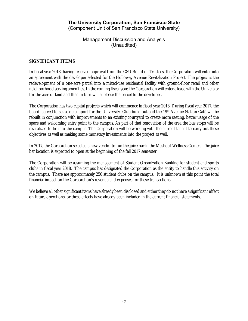Management Discussion and Analysis (Unaudited)

### **SIGNIFICANT ITEMS**

In fiscal year 2018, having received approval from the CSU Board of Trustees, the Corporation will enter into an agreement with the developer selected for the Holloway Avenue Revitalization Project. The project is the redevelopment of a one-acre parcel into a mixed-use residential facility with ground-floor retail and other neighborhood serving amenities. In the coming fiscal year, the Corporation will enter a lease with the University for the acre of land and then in turn will sublease the parcel to the developer.

The Corporation has two capital projects which will commence in fiscal year 2018. During fiscal year 2017, the board agreed to set aside support for the University Club build out and the 19th Avenue Station Café will be rebuilt in conjunction with improvements to an existing courtyard to create more seating, better usage of the space and welcoming entry point to the campus. As part of that renovation of the area the bus stops will be revitalized to tie into the campus. The Corporation will be working with the current tenant to carry out these objectives as well as making some monetary investments into the project as well.

In 2017, the Corporation selected a new vendor to run the juice bar in the Mashouf Wellness Center. The juice bar location is expected to open at the beginning of the fall 2017 semester.

The Corporation will be assuming the management of Student Organization Banking for student and sports clubs in fiscal year 2018. The campus has designated the Corporation as the entity to handle this activity on the campus. There are approximately 250 student clubs on the campus. It is unknown at this point the total financial impact on the Corporation's revenue and expenses for these transactions.

We believe all other significant items have already been disclosed and either they do not have a significant effect on future operations, or these effects have already been included in the current financial statements.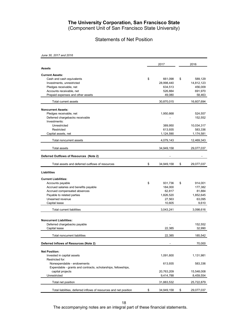(Component Unit of San Francisco State University)

### Statements of Net Position

*June 30, 2017 and 2016*

|                                                                   | 2017               | 2016             |  |  |
|-------------------------------------------------------------------|--------------------|------------------|--|--|
| <b>Assets</b>                                                     |                    |                  |  |  |
| <b>Current Assets:</b>                                            |                    |                  |  |  |
| Cash and cash equivalents                                         | \$<br>661,098      | \$<br>589,129    |  |  |
| Investments, unrestricted                                         | 28,998,440         | 14,812,123       |  |  |
| Pledges receivable, net                                           | 634,513            | 456,009          |  |  |
| Accounts receivable, net                                          | 526,884            | 691,970          |  |  |
| Prepaid expenses and other assets                                 | 49,080             | 58,463           |  |  |
| Total current assets                                              | 30,870,015         | 16.607.694       |  |  |
| <b>Noncurrent Assets:</b>                                         |                    |                  |  |  |
| Pledges receivable, net                                           | 1,950,668          | 524,557          |  |  |
| Deferred chargebacks receivable                                   |                    | 152,552          |  |  |
| Investments:                                                      |                    |                  |  |  |
| Unrestricted                                                      | 389,950            | 10,034,317       |  |  |
| Restricted                                                        | 613,935            | 583,336          |  |  |
| Capital assets, net                                               | 1,124,590          | 1,174,581        |  |  |
| Total noncurrent assets                                           | 4,079,143          | 12,469,343       |  |  |
| Total assets                                                      | 34,949,158         | 29,077,037       |  |  |
| Deferred Outflows of Resources (Note 2)                           |                    |                  |  |  |
| Total assets and deferred outflows of resources                   | \$<br>34,949,158   | \$<br>29,077,037 |  |  |
| <b>Liabilities</b>                                                |                    |                  |  |  |
| <b>Current Liabilities:</b>                                       |                    |                  |  |  |
|                                                                   | \$                 | 914,001          |  |  |
| Accounts payable<br>Accrued salaries and benefits payable         | 931,736<br>184,000 | \$<br>177,382    |  |  |
| Accrued compensated absences                                      | 62,817             | 81,884           |  |  |
| Payable to related parties                                        | 1,826,520          | 1,852,645        |  |  |
| Unearned revenue                                                  | 27,563             | 63,095           |  |  |
| Capital lease                                                     | 10,605             | 9,610            |  |  |
|                                                                   |                    |                  |  |  |
| <b>Total current liabilities</b>                                  | 3,043,241          | 3,098,616        |  |  |
| <b>Noncurrent Liabilities:</b>                                    |                    |                  |  |  |
| Deferred chargebacks payable                                      |                    | 152,552          |  |  |
| Capital lease                                                     | 22,385             | 32,990           |  |  |
| <b>Total noncurrent liabilities</b>                               | 22,385             | 185,542          |  |  |
|                                                                   |                    |                  |  |  |
| Deferred Inflows of Resources (Note 2)                            |                    | 70,000           |  |  |
| <b>Net Position:</b>                                              |                    |                  |  |  |
| Invested in capital assets                                        | 1,091,600          | 1,131,981        |  |  |
| Restricted for:                                                   |                    |                  |  |  |
| Nonexpendable - endowments                                        | 613,935            | 583,336          |  |  |
| Expendable - grants and contracts, scholarships, fellowships,     |                    |                  |  |  |
| capital projects                                                  | 20,763,209         | 15,548,008       |  |  |
| Unrestricted                                                      | 9,414,788          | 8,459,554        |  |  |
| Total net position                                                | 31,883,532         | 25,722,879       |  |  |
| Total liabilities, deferred inflows of resources and net position | \$<br>34,949,158   | \$<br>29,077,037 |  |  |

The accompanying notes are an integral part of these financial statements.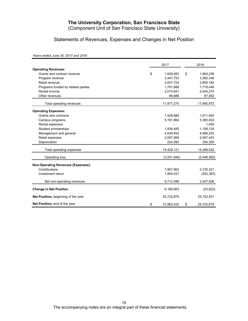(Component Unit of San Francisco State University)

## Statements of Revenues, Expenses and Changes in Net Position

*Years ended June 30, 2017 and 2016*

|                                           | 2017             | 2016             |
|-------------------------------------------|------------------|------------------|
| <b>Operating Revenues:</b>                |                  |                  |
| Grants and contract revenue               | \$<br>1,829,483  | \$<br>1,804,238  |
| Program revenue                           | 3,447,753        | 3,382,346        |
| Retail revenue                            | 2,647,724        | 2,804,184        |
| Programs funded by related parties        | 1,791,988        | 1,718,448        |
| Rental income                             | 2,073,641        | 2,044,274        |
| Other revenues                            | 86,686           | 87,482           |
| Total operating revenues                  | 11,877,275       | 11,840,972       |
| <b>Operating Expenses:</b>                |                  |                  |
| Grants and contracts                      | 1,428,680        | 1,011,945        |
| Campus programs                           | 5,191,864        | 5,380,003        |
| Rental expenses                           |                  | 1,450            |
| Student scholarships                      | 1,836,485        | 1,108,134        |
| Management and general                    | 4,649,932        | 4,466,203        |
| Retail expenses                           | 2,097,568        | 2,067,443        |
| Depreciation                              | 224,592          | 254,355          |
| Total operating expenses                  | 15,429,121       | 14,289,532       |
| Operating loss                            | (3, 551, 846)    | (2,448,560)      |
| <b>Non-Operating Revenues (Expenses):</b> |                  |                  |
| Contributions                             | 7,807,962        | 2,730,321        |
| Investment return                         | 1,904,537        | (302, 383)       |
| Net non-operating revenues                | 9,712,499        | 2,427,938        |
| <b>Change in Net Position</b>             | 6,160,653        | (20, 622)        |
| Net Position, beginning of the year       | 25,722,879       | 25,743,501       |
| Net Position, end of the year             | \$<br>31,883,532 | \$<br>25,722,879 |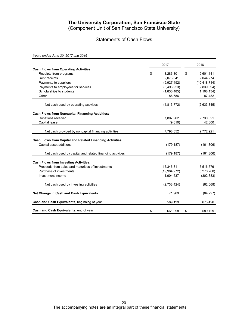(Component Unit of San Francisco State University)

### Statements of Cash Flows

*Years ended June 30, 2017 and 2016*

|                                                                  | 2017            | 2016            |
|------------------------------------------------------------------|-----------------|-----------------|
| <b>Cash Flows from Operating Activities:</b>                     |                 |                 |
| Receipts from programs                                           | \$<br>8,286,801 | \$<br>9,601,141 |
| Rent receipts                                                    | 2,073,641       | 2,044,274       |
| Payments to suppliers                                            | (9,927,492)     | (10, 418, 714)  |
| Payments to employees for services                               | (3,496,923)     | (2,839,894)     |
| Scholarships to students                                         | (1,836,485)     | (1, 108, 134)   |
| Other                                                            | 86,686          | 87,482          |
| Net cash used by operating activities                            | (4,813,772)     | (2,633,845)     |
| <b>Cash Flows from Noncapital Financing Activities:</b>          |                 |                 |
| Donations received                                               | 7,807,962       | 2,730,321       |
| Capital lease                                                    | (9,610)         | 42,600          |
| Net cash provided by noncapital financing activities             | 7,798,352       | 2,772,921       |
| <b>Cash Flows from Capital and Related Financing Activities:</b> |                 |                 |
| Capital asset additions                                          | (179, 187)      | (161, 306)      |
|                                                                  |                 |                 |
| Net cash used by capital and related financing activities        | (179, 187)      | (161, 306)      |
| <b>Cash Flows from Investing Activities:</b>                     |                 |                 |
| Proceeds from sales and maturities of investments                | 15,346,311      | 5,516,576       |
| Purchase of investments                                          | (19,984,272)    | (5,276,260)     |
| Investment income                                                | 1,904,537       | (302, 383)      |
| Net cash used by investing activities                            | (2,733,424)     | (62,068)        |
| Net Change in Cash and Cash Equivalents                          | 71,969          | (84, 297)       |
| Cash and Cash Equivalents, beginning of year                     | 589,129         | 673,426         |
| Cash and Cash Equivalents, end of year                           | \$<br>661,098   | \$<br>589,129   |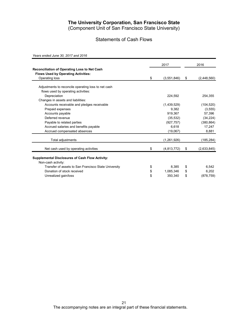(Component Unit of San Francisco State University)

### Statements of Cash Flows

*Years ended June 30, 2017 and 2016*

|                                                                                            | 2017              | 2016              |  |  |
|--------------------------------------------------------------------------------------------|-------------------|-------------------|--|--|
| Reconciliation of Operating Loss to Net Cash<br><b>Flows Used by Operating Activities:</b> |                   |                   |  |  |
| Operating loss                                                                             | \$<br>(3,551,846) | \$<br>(2,448,560) |  |  |
|                                                                                            |                   |                   |  |  |
| Adjustments to reconcile operating loss to net cash                                        |                   |                   |  |  |
| flows used by operating activities:                                                        |                   |                   |  |  |
| Depreciation                                                                               | 224,592           | 254,355           |  |  |
| Changes in assets and liabilities:                                                         |                   |                   |  |  |
| Accounts receivable and pledges receivable                                                 | (1,439,529)       | (104, 520)        |  |  |
| Prepaid expenses                                                                           | 9.382             | (3,555)           |  |  |
| Accounts payable                                                                           | 919,367           | 57,396            |  |  |
| Deferred revenue                                                                           | (35, 532)         | (34, 224)         |  |  |
| Payable to related parties                                                                 | (927, 757)        | (380, 864)        |  |  |
| Accrued salaries and benefits payable                                                      | 6.618             | 17,247            |  |  |
| Accrued compensated absences                                                               | (19,067)          | 8,881             |  |  |
| Total adjustments                                                                          | (1,261,926)       | (185, 284)        |  |  |
| Net cash used by operating activities                                                      | \$<br>(4,813,772) | \$<br>(2,633,845) |  |  |
| <b>Supplemental Disclosures of Cash Flow Activity:</b>                                     |                   |                   |  |  |
| Non-cash activity:                                                                         |                   |                   |  |  |
| Transfer of assets to San Francisco State University                                       | \$<br>8.385       | \$<br>6.542       |  |  |
| Donation of stock received                                                                 | \$<br>1,085,346   | \$<br>6,202       |  |  |
| Unrealized gain/loss                                                                       | \$<br>350,340     | \$<br>(878, 759)  |  |  |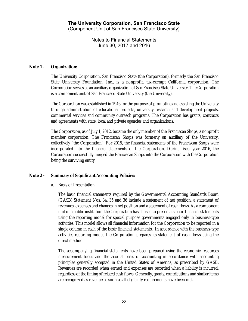Notes to Financial Statements June 30, 2017 and 2016

#### **Note 1 - Organization:**

The University Corporation, San Francisco State (the Corporation), formerly the San Francisco State University Foundation, Inc., is a nonprofit, tax-exempt California corporation. The Corporation serves as an auxiliary organization of San Francisco State University. The Corporation is a component unit of San Francisco State University (the University).

The Corporation was established in 1946 for the purpose of promoting and assisting the University through administration of educational projects, university research and development projects, commercial services and community outreach programs. The Corporation has grants, contracts and agreements with state, local and private agencies and organizations.

The Corporation, as of July 1, 2012, became the only member of the Franciscan Shops, a nonprofit member corporation. The Franciscan Shops was formerly an auxiliary of the University, collectively "the Corporation". For 2015, the financial statements of the Franciscan Shops were incorporated into the financial statements of the Corporation. During fiscal year 2016, the Corporation successfully merged the Franciscan Shops into the Corporation with the Corporation being the surviving entity.

#### **Note 2 - Summary of Significant Accounting Policies:**

#### a. Basis of Presentation

The basic financial statements required by the Governmental Accounting Standards Board (GASB) Statement Nos. 34, 35 and 36 include a statement of net position, a statement of revenues, expenses and changes in net position and a statement of cash flows. As a component unit of a public institution, the Corporation has chosen to present its basic financial statements using the reporting model for special purpose governments engaged only in business-type activities. This model allows all financial information for the Corporation to be reported in a single column in each of the basic financial statements. In accordance with the business-type activities reporting model, the Corporation prepares its statement of cash flows using the direct method.

The accompanying financial statements have been prepared using the economic resources measurement focus and the accrual basis of accounting in accordance with accounting principles generally accepted in the United States of America, as prescribed by GASB. Revenues are recorded when earned and expenses are recorded when a liability is incurred, regardless of the timing of related cash flows. Generally, grants, contributions and similar items are recognized as revenue as soon as all eligibility requirements have been met.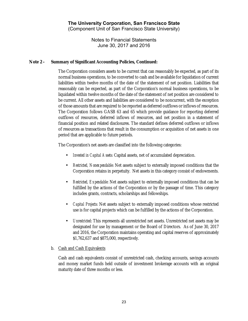Notes to Financial Statements June 30, 2017 and 2016

#### **Note 2 - Summary of Significant Accounting Policies, Continued:**

The Corporation considers assets to be current that can reasonably be expected, as part of its normal business operations, to be converted to cash and be available for liquidation of current liabilities within twelve months of the date of the statement of net position. Liabilities that reasonably can be expected, as part of the Corporation's normal business operations, to be liquidated within twelve months of the date of the statement of net position are considered to be current. All other assets and liabilities are considered to be noncurrent, with the exception of those amounts that are required to be reported as deferred outflows or inflows of resources. The Corporation follows GASB 63 and 65 which provide guidance for reporting deferred outflows of resources, deferred inflows of resources, and net position in a statement of financial position and related disclosures. The standard defines deferred outflows or inflows of resources as transactions that result in the consumption or acquisition of net assets in one period that are applicable to future periods.

The Corporation's net assets are classified into the following categories:

- *Invested in Capital Assets*: Capital assets, net of accumulated depreciation.
- *Restricted, Nonexpendable*: Net assets subject to externally imposed conditions that the Corporation retains in perpetuity. Net assets in this category consist of endowments.
- *Restricted, Expendable*: Net assets subject to externally imposed conditions that can be fulfilled by the actions of the Corporation or by the passage of time. This category includes grants, contracts, scholarships and fellowships.
- *Capital Projects*: Net assets subject to externally imposed conditions whose restricted use is for capital projects which can be fulfilled by the actions of the Corporation.
- *Unrestricted*: This represents all unrestricted net assets. Unrestricted net assets may be designated for use by management or the Board of Directors. As of June 30, 2017 and 2016, the Corporation maintains operating and capital reserves of approximately \$1,762,637 and \$875,000, respectively.

#### b. Cash and Cash Equivalents

Cash and cash equivalents consist of unrestricted cash, checking accounts, savings accounts and money market funds held outside of investment brokerage accounts with an original maturity date of three months or less.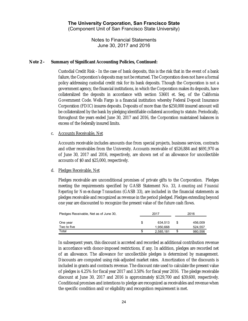Notes to Financial Statements June 30, 2017 and 2016

#### **Note 2 - Summary of Significant Accounting Policies, Continued:**

Custodial Credit Risk - In the case of bank deposits, this is the risk that in the event of a bank failure, the Corporation's deposits may not be returned. The Corporation does not have a formal policy addressing custodial credit risk for its bank deposits. Though the Corporation is not a government agency, the financial institutions, in which the Corporation makes its deposits, have collateralized the deposits in accordance with section 53601 et. Seq. of the California Government Code. Wells Fargo is a financial institution whereby Federal Deposit Insurance Corporation (FDIC) insures deposits. Deposits of more than the \$250,000 insured amount will be collateralized by the bank by pledging identifiable collateral according to statute. Periodically, throughout the years ended June 30, 2017 and 2016, the Corporation maintained balances in excess of the federally insured limits.

c. Accounts Receivable, Net

Accounts receivable includes amounts due from special projects, business services, contracts and other receivables from the University. Accounts receivable of \$526,884 and \$691,970 as of June 30, 2017 and 2016, respectively, are shown net of an allowance for uncollectible accounts of \$0 and \$25,000, respectively.

#### d. Pledges Receivable, Net

Pledges receivable are unconditional promises of private gifts to the Corporation. Pledges meeting the requirements specified by GASB Statement No. 33, *Accounting and Financial Reporting for Non-exchange Transactions* (GASB 33), are included in the financial statements as pledges receivable and recognized as revenue in the period pledged. Pledges extending beyond one year are discounted to recognize the present value of the future cash flows.

| Pledges Receivable, Net as of June 30, |   | 2017      |    | 2016    |  |  |
|----------------------------------------|---|-----------|----|---------|--|--|
| One year                               | S | 634.513   | S  | 456,009 |  |  |
| Two to five                            |   | 1.950.668 |    | 524,557 |  |  |
| Total                                  | S | 2,585,181 | \$ | 980,556 |  |  |

In subsequent years, this discount is accreted and recorded as additional contribution revenue in accordance with donor-imposed restrictions, if any. In addition, pledges are recorded net of an allowance. The allowance for uncollectible pledges is determined by management. Discounts are computed using risk-adjusted market rates. Amortization of the discounts is included in grants and contracts revenue. The discount rate used to calculate the present value of pledges is 4.25% for fiscal year 2017 and 3.50% for fiscal year 2016. The pledge receivable discount at June 30, 2017 and 2016 is approximately \$129,700 and \$39,600, respectively. Conditional promises and intentions to pledge are recognized as receivables and revenue when the specific condition and/or eligibility and recognition requirement is met.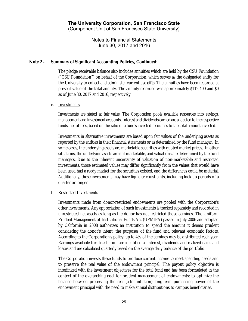Notes to Financial Statements June 30, 2017 and 2016

#### **Note 2 - Summary of Significant Accounting Policies, Continued:**

The pledge receivable balance also includes annuities which are held by the CSU Foundation ("CSU Foundation") on behalf of the Corporation, which serves as the designated entity for the University to collect and administer current use gifts. The annuities have been recorded at present value of the total annuity. The annuity recorded was approximately \$112,400 and \$0 as of June 30, 2017 and 2016, respectively.

#### e. Investments

Investments are stated at fair value. The Corporation pools available resources into savings, management and investment accounts.Interest and dividends earned are allocated to the respective funds, net of fees, based on the ratio of a fund's invested resources to the total amount invested.

Investments in alternative investments are based upon fair values of the underlying assets as reported by the entities in their financial statements or as determined by the fund manager. In some cases, the underlying assets are marketable securities with quoted market prices. In other situations, the underlying assets are not marketable, and valuations are determined by the fund managers. Due to the inherent uncertainty of valuation of non-marketable and restricted investments, those estimated values may differ significantly from the values that would have been used had a ready market for the securities existed, and the differences could be material. Additionally, these investments may have liquidity constraints, including lock up periods of a quarter or longer.

#### f. Restricted Investments

Investments made from donor-restricted endowments are pooled with the Corporation's other investments. Any appreciation of such investments is tracked separately and recorded in unrestricted net assets as long as the donor has not restricted those earnings. The Uniform Prudent Management of Institutional Funds Act (UPMIFA) passed in July 2006 and adopted by California in 2008 authorizes an institution to spend the amount it deems prudent considering the donor's intent, the purposes of the fund and relevant economic factors. According to the Corporation's policy, up to 4% of the earnings may be distributed each year. Earnings available for distribution are identified as interest, dividends and realized gains and losses and are calculated quarterly based on the average daily balance of the portfolio.

The Corporation invests these funds to produce current income to meet spending needs and to preserve the real value of the endowment principal. The payout policy objective is interlinked with the investment objectives for the total fund and has been formulated in the context of the overarching goal for prudent management of endowments: to optimize the balance between preserving the real (after inflation) long-term purchasing power of the endowment principal with the need to make annual distributions to campus beneficiaries.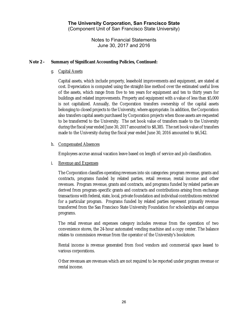Notes to Financial Statements June 30, 2017 and 2016

#### **Note 2 - Summary of Significant Accounting Policies, Continued:**

g. Capital Assets

Capital assets, which include property, leasehold improvements and equipment, are stated at cost. Depreciation is computed using the straight-line method over the estimated useful lives of the assets, which range from five to ten years for equipment and ten to thirty years for buildings and related improvements. Property and equipment with a value of less than \$5,000 is not capitalized. Annually, the Corporation transfers ownership of the capital assets belonging to closed projects to the University, where appropriate. In addition, the Corporation also transfers capital assets purchased by Corporation projects when those assets are requested to be transferred to the University. The net book value of transfers made to the University during the fiscal year ended June 30, 2017 amounted to \$8,385. The net book value of transfers made to the University during the fiscal year ended June 30, 2016 amounted to \$6,542.

h. Compensated Absences

Employees accrue annual vacation leave based on length of service and job classification.

i. Revenue and Expenses

The Corporation classifies operating revenues into six categories: program revenue, grants and contracts, programs funded by related parties, retail revenue, rental income and other revenues. Program revenue, grants and contracts, and programs funded by related parties are derived from program-specific grants and contracts and contributions arising from exchange transactions with federal, state, local, private foundation and individual contributions restricted for a particular program. Programs funded by related parties represent primarily revenue transferred from the San Francisco State University Foundation for scholarships and campus programs.

The retail revenue and expenses category includes revenue from the operation of two convenience stores, the 24-hour automated vending machine and a copy center. The balance relates to commission revenue from the operator of the University's bookstore.

Rental income is revenue generated from food vendors and commercial space leased to various corporations.

Other revenues are revenues which are not required to be reported under program revenue or rental income.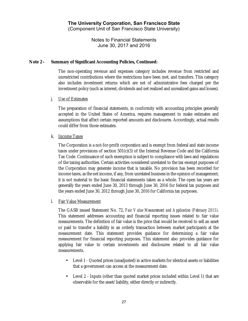Notes to Financial Statements June 30, 2017 and 2016

#### **Note 2 - Summary of Significant Accounting Policies, Continued:**

The non-operating revenue and expenses category includes revenue from restricted and unrestricted contributions where the restrictions have been met, and transfers. This category also includes investment returns which are net of administrative fees charged per the investment policy (such as interest, dividends and net realized and unrealized gains and losses).

### j. Use of Estimates

The preparation of financial statements, in conformity with accounting principles generally accepted in the United States of America, requires management to make estimates and assumptions that affect certain reported amounts and disclosures. Accordingly, actual results could differ from those estimates.

### k. Income Taxes

The Corporation is a not-for-profit corporation and is exempt from federal and state income taxes under provisions of section  $501(c)(3)$  of the Internal Revenue Code and the California Tax Code. Continuance of such exemption is subject to compliance with laws and regulations of the taxing authorities. Certain activities considered unrelated to the tax exempt purposes of the Corporation may generate income that is taxable. No provision has been recorded for income taxes, as the net income, if any, from unrelated business in the opinion of management; it is not material to the basic financial statements taken as a whole. The open tax years are generally the years ended June 30, 2013 through June 30, 2016 for federal tax purposes and the years ended June 30, 2012 through June 30, 2016 for California tax purposes.

l. Fair Value Measurement

The GASB issued Statement No. 72, *Fair Value Measurement and Application (February 2015)*. This statement addresses accounting and financial reporting issues related to fair value measurements. The definition of fair value is the price that would be received to sell an asset or paid to transfer a liability in an orderly transaction between market participants at the measurement date. This statement provides guidance for determining a fair value measurement for financial reporting purposes. This statement also provides guidance for applying fair value to certain investments and disclosures related to all fair value measurements.

- Level 1 Quoted prices (unadjusted) in active markets for identical assets or liabilities that a government can access at the measurement date.
- Level 2 Inputs (other than quoted market prices included within Level 1) that are observable for the asset/liability, either directly or indirectly.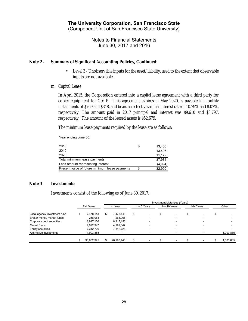Notes to Financial Statements June 30, 2017 and 2016

#### **Note 2 - Summary of Significant Accounting Policies, Continued:**

- Level 3 Unobservable inputs for the asset/liability; used to the extent that observable inputs are not available.
- m. Capital Lease

In April 2015, the Corporation entered into a capital lease agreement with a third party for copier equipment for Ctrl P. This agreement expires in May 2020, is payable in monthly installments of \$769 and \$348, and bears an effective annual interest rate of 10.79% and 8.07%, respectively. The amount paid in 2017 principal and interest was \$9,610 and \$3,797, respectively. The amount of the leased assets is \$52,679.

The minimum lease payments required by the lease are as follows:

Year ending June 30:

| 2018                                           | S | 13,406  |
|------------------------------------------------|---|---------|
| 2019                                           |   | 13.406  |
| 2020                                           |   | 11,172  |
| Total minimum lease payments                   |   | 37,984  |
| Less amount representing interest              |   | (4,994) |
| Present value of future minimum lease payments | S | 32.990  |

#### **Note 3 - Investments:**

Investments consist of the following as of June 30, 2017:

|                              |            |            |         |            |             |  | Investment Maturities (Years) |  |           |   |           |
|------------------------------|------------|------------|---------|------------|-------------|--|-------------------------------|--|-----------|---|-----------|
|                              | Fair Value |            | <1 Year |            | l – 5 Years |  | $6 - 10$ Years                |  | 10+ Years |   | Other     |
| Local agency investment fund |            | 7.478.143  | S       | 7.478.143  | \$          |  | $\overline{\phantom{a}}$      |  |           | J |           |
| Broker money market funds    |            | 268,068    |         | 268,068    | -           |  | $\overline{\phantom{a}}$      |  |           |   |           |
| Corporate debt securities    |            | 8,917,156  |         | 8,917,156  |             |  | $\overline{\phantom{a}}$      |  |           |   |           |
| Mutual funds                 |            | 4,992,347  |         | 4,992,347  |             |  | -                             |  |           |   |           |
| Equity securities            |            | 7.342.726  |         | 7.342.726  |             |  |                               |  |           |   |           |
| Alternative investments      |            | 1,003,885  |         |            |             |  |                               |  |           |   | 1,003,885 |
|                              |            | 30,002,325 |         | 28,998,440 | \$          |  |                               |  |           |   | 1,003,885 |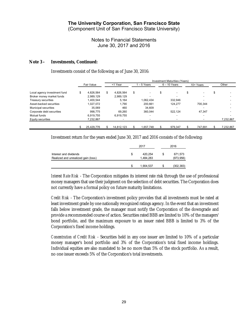(Component Unit of San Francisco State University)

Notes to Financial Statements June 30, 2017 and 2016

#### **Note 3 - Investments, Continued:**

Investments consist of the following as of June 30, 2016:

|                              |            |            |                  |           | Investment Maturities (Years) |                |           |       |
|------------------------------|------------|------------|------------------|-----------|-------------------------------|----------------|-----------|-------|
|                              | Fair Value |            |                  | <1 Year   | - 5 Years                     | $6 - 10$ Years | 10+ Years | Other |
| Local agency investment fund | \$         | 4.826.564  | \$<br>4,826,564  | \$        | ۰                             |                |           |       |
| Broker money market funds    |            | 2.989.129  | 2,989,129        |           |                               |                |           |       |
| Treasury securities          |            | .400.544   | 5.164            | 1.062.434 | 332.946                       |                |           |       |
| Asset-backed securities      |            | 1,027,072  | 1.790            | 200.661   | 124.277                       | 700.344        |           |       |
| Municipal securities         |            | 35.069     | 460              | 34.609    |                               |                |           |       |
| Corporate debt securities    |            | 998.775    | 69.260           | 360.044   | 522.124                       | 47,347         |           |       |
| Mutual funds                 |            | 6.919.755  | 6.919.755        |           |                               |                |           |       |
| Equity securities            |            | 7,232,867  |                  |           |                               |                | 7,232,867 |       |
|                              | \$         | 25,429,776 | \$<br>14,812,123 | 1,657,748 | 979,347                       | 747.691        | 7,232,867 |       |

Investment return for the years ended June 30, 2017 and 2016 consists of the following:

|                                                               |   | 2017                 |   | 2016                  |
|---------------------------------------------------------------|---|----------------------|---|-----------------------|
| Interest and dividends<br>Realized and unrealized gain (loss) | S | 420,254<br>1,484,283 | S | 671,573<br>(973, 956) |
|                                                               | S | 1,904,537            | S | (302, 383)            |

*Interest Rate Risk* - The Corporation mitigates its interest rate risk through the use of professional money managers that use their judgment on the selection of debt securities. The Corporation does not currently have a formal policy on future maturity limitations.

*Credit Risk* - The Corporation's investment policy provides that all investments must be rated at least investment grade by one nationally recognized ratings agency. In the event that an investment falls below investment grade, the manager must notify the Corporation of the downgrade and provide a recommended course of action. Securities rated BBB are limited to 10% of the managers' bond portfolio, and the maximum exposure to an issuer rated BBB is limited to 3% of the Corporation's fixed income holdings.

*Concentration of Credit Risk* - Securities held in any one issuer are limited to 10% of a particular money manager's bond portfolio and 3% of the Corporation's total fixed income holdings. Individual equities are also mandated to be no more than 5% of the stock portfolio. As a result, no one issuer exceeds 5% of the Corporation's total investments.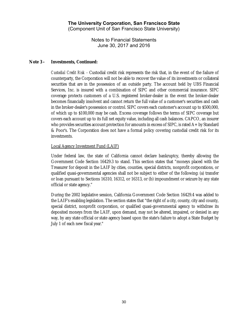Notes to Financial Statements June 30, 2017 and 2016

#### **Note 3 - Investments, Continued:**

*Custodial Credit Risk* - Custodial credit risk represents the risk that, in the event of the failure of counterparty, the Corporation will not be able to recover the value of its investments or collateral securities that are in the possession of an outside party. The account held by UBS Financial Services, Inc. is insured with a combination of SIPC and other commercial insurance. SIPC coverage protects customers of a U.S. registered broker-dealer in the event the broker-dealer becomes financially insolvent and cannot return the full value of a customer's securities and cash in the broker-dealer's possession or control. SIPC covers each customer's account up to \$500,000, of which up to \$100,000 may be cash. Excess coverage follows the terms of SIPC coverage but covers each account up to its full net equity value, including all cash balances. CAPCO, an insurer who provides securities account protection for amounts in excess of SIPC, is rated A+ by Standard & Poor's. The Corporation does not have a formal policy covering custodial credit risk for its investments.

#### Local Agency Investment Fund (LAIF)

Under federal law, the state of California cannot declare bankruptcy, thereby allowing the Government Code Section 16429.3 to stand. This section states that "moneys placed with the Treasurer for deposit in the LAIF by cities, counties, special districts, nonprofit corporations, or qualified quasi-governmental agencies shall not be subject to either of the following: (a) transfer or loan pursuant to Sections 16310, 16312, or 16313, or (b) impoundment or seizure by any state official or state agency."

During the 2002 legislative session, California Government Code Section 16429.4 was added to the LAIF's enabling legislation. The section states that "the right of a city, county, city and county, special district, nonprofit corporation, or qualified quasi-governmental agency to withdraw its deposited moneys from the LAIF, upon demand, may not be altered, impaired, or denied in any way, by any state official or state agency based upon the state's failure to adopt a State Budget by July 1 of each new fiscal year."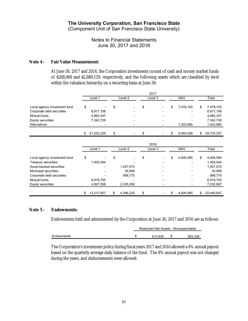(Component Unit of San Francisco State University)

### Notes to Financial Statements June 30, 2017 and 2016

#### **Note 4 - Fair Value Measurement:**

At June 30, 2017 and 2016, the Corporation investments consist of cash and money market funds of \$268,068 and \$2,889,129, respectively, and the following assets which are classified by level within the valuation hierarchy on a recurring basis at June 30:

|                              |                          |                                | 2017                           |                          |                 |
|------------------------------|--------------------------|--------------------------------|--------------------------------|--------------------------|-----------------|
|                              | Level 1                  | Level 2                        | Level 3                        | <b>NAV</b>               | Total           |
| Local agency investment fund | \$                       | \$<br>$\overline{\phantom{a}}$ | \$<br>$\overline{\phantom{0}}$ | \$<br>7,478,143          | \$<br>7,478,143 |
| Corporate debt securities    | 8,917,156                | -                              | $\overline{\phantom{0}}$       |                          | 8,917,156       |
| Mutual funds                 | 4,992,347                |                                |                                | $\overline{\phantom{0}}$ | 4,992,347       |
| Equity securities            | 7,342,726                | $\overline{\phantom{0}}$       | $\overline{\phantom{0}}$       | $\overline{\phantom{0}}$ | 7,342,726       |
| Alternatives                 | $\overline{\phantom{a}}$ | $\overline{\phantom{0}}$       |                                | 1,003,885                | 1,003,885       |
|                              | 21,252,229               | \$<br>$\overline{\phantom{0}}$ | \$<br>$\overline{\phantom{0}}$ | \$<br>8,482,028          | 29,734,257      |

|                              | 2016    |                          |    |                          |    |                          |            |           |       |            |
|------------------------------|---------|--------------------------|----|--------------------------|----|--------------------------|------------|-----------|-------|------------|
|                              | Level 1 |                          |    | Level 3<br>Level 2       |    |                          | <b>NAV</b> |           | Total |            |
| Local agency investment fund | \$      |                          | \$ | $\overline{\phantom{a}}$ | \$ | $\overline{\phantom{0}}$ | \$         | 4,826,565 | \$    | 4,826,565  |
| Treasury securities          |         | 1,400,544                |    | $\overline{\phantom{0}}$ |    | $\overline{\phantom{0}}$ |            |           |       | 1,400,544  |
| Asset-backed securities      |         |                          |    | 1,027,072                |    | $\overline{\phantom{0}}$ |            |           |       | 1,027,072  |
| Municipal securities         |         | $\overline{\phantom{0}}$ |    | 35.069                   |    | $\overline{\phantom{0}}$ |            |           |       | 35,069     |
| Corporate debt securities    |         |                          |    | 998,775                  |    | $\overline{\phantom{0}}$ |            | ۰         |       | 998,775    |
| Mutual funds                 |         | 6,919,755                |    | ۰                        |    | -                        |            |           |       | 6,919,755  |
| Equity securities            |         | 4,897,558                |    | 2,335,309                |    |                          |            |           |       | 7,232,867  |
|                              | \$      | 13,217,857               | \$ | 4,396,225                | \$ | $\overline{\phantom{0}}$ | \$         | 4,826,565 |       | 22,440,647 |

#### **Note 5 - Endowments:**

Endowments held and administered by the Corporation at June 30, 2017 and 2016 are as follows:

|            | Restricted Net Assets - Nonexpendable |         |  |         |  |  |
|------------|---------------------------------------|---------|--|---------|--|--|
| Endowments |                                       | 613.935 |  | 583.336 |  |  |

The Corporation's investment policy during fiscal years 2017 and 2016 allowed a 4% annual payout based on the quarterly average daily balance of the fund. The 4% annual payout was not changed during the years, and disbursements were allowed.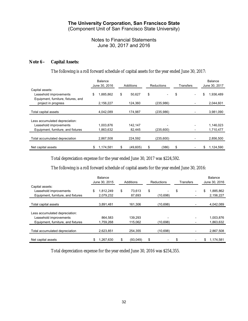(Component Unit of San Francisco State University)

### Notes to Financial Statements June 30, 2017 and 2016

#### **Note 6 - Capital Assets:**

#### The following is a roll forward schedule of capital assets for the year ended June 30, 2017:

|                                                                                  | <b>Balance</b><br>June 30, 2016 | Additions       | Reductions  | Transfers | <b>Balance</b><br>June 30, 2017 |
|----------------------------------------------------------------------------------|---------------------------------|-----------------|-------------|-----------|---------------------------------|
| Capital assets:<br>Leasehold improvements<br>Equipment, furniture, fixtures, and | \$<br>1,885,862                 | \$<br>50,627    | \$          | \$        | \$<br>1,936,489                 |
| project in progress                                                              | 2,156,227                       | 124,360         | (235, 986)  |           | 2,044,601                       |
| Total capital assets                                                             | 4,042,089                       | 174,987         | (235, 986)  |           | 3,981,090                       |
| Less accumulated depreciation:                                                   |                                 |                 |             |           |                                 |
| Leasehold improvements                                                           | 1,003,876                       | 142,147         |             |           | 1,146,023                       |
| Equipment, furniture, and fixtures                                               | 1,863,632                       | 82,445          | (235, 600)  |           | 1,710,477                       |
| Total accumulated depreciation                                                   | 2,867,508                       | 224,592         | (235, 600)  |           | 2,856,500                       |
| Net capital assets                                                               | \$<br>1,174,581                 | \$<br>(49, 605) | \$<br>(386) | \$        | \$<br>1,124,590                 |

Total depreciation expense for the year ended June 30, 2017 was \$224,592.

#### The following is a roll forward schedule of capital assets for the year ended June 30, 2016:

|                                    | Balance<br>June 30, 2015 | Additions      | Reductions |           | <b>Transfers</b> |    | Balance<br>June 30, 2016 |
|------------------------------------|--------------------------|----------------|------------|-----------|------------------|----|--------------------------|
| Capital assets:                    |                          |                |            |           |                  |    |                          |
| Leasehold improvements             | \$<br>1,812,249          | \$<br>73.613   | \$         |           | \$               | \$ | 1,885,862                |
| Equipment, furniture, and fixtures | 2,079,232                | 87,693         |            | (10,698)  |                  |    | 2,156,227                |
|                                    |                          |                |            |           |                  |    |                          |
| Total capital assets               | 3,891,481                | 161,306        |            | (10, 698) |                  |    | 4,042,089                |
| Less accumulated depreciation:     |                          |                |            |           |                  |    |                          |
| Leasehold improvements             | 864,583                  | 139.293        |            |           |                  |    | 1,003,876                |
| Equipment, furniture, and fixtures | 1,759,268                | 115,062        |            | (10,698)  |                  |    | 1,863,632                |
|                                    |                          |                |            |           |                  |    |                          |
| Total accumulated depreciation     | 2,623,851                | 254.355        |            | (10, 698) |                  |    | 2,867,508                |
| Net capital assets                 | \$<br>1,267,630          | \$<br>(93,049) | \$         |           | \$               | \$ | 1,174,581                |

Total depreciation expense for the year ended June 30, 2016 was \$254,355.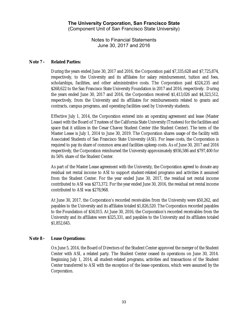Notes to Financial Statements June 30, 2017 and 2016

#### **Note 7 - Related Parties:**

During the years ended June 30, 2017 and 2016, the Corporation paid \$7,335,628 and \$7,725,874, respectively, to the University and its affiliates for salary reimbursement, tuition and fees, scholarships, facilities, and other administrative costs. The Corporation paid \$324,235 and \$268,622 to the San Francisco State University Foundation in 2017 and 2016, respectively. During the years ended June 30, 2017 and 2016, the Corporation received \$1,413,026 and \$4,323,512, respectively, from the University and its affiliates for reimbursements related to grants and contracts, campus programs, and operating facilities used by University students.

Effective July 1, 2014, the Corporation entered into an operating agreement and lease (Master Lease) with the Board of Trustees of the California State University (Trustees) for the facilities and space that it utilizes in the Cesar Chavez Student Center (the Student Center). The term of the Master Lease is July 1, 2014 to June 30, 2019. The Corporation shares usage of the facility with Associated Students of San Francisco State University (ASI). For lease costs, the Corporation is required to pay its share of common area and facilities upkeep costs. As of June 30, 2017 and 2016 respectively, the Corporation reimbursed the University approximately \$936,586 and \$797,400 for its 56% share of the Student Center.

As part of the Master Lease agreement with the University, the Corporation agreed to donate any residual net rental income to ASI to support student-related programs and activities it assumed from the Student Center. For the year ended June 30, 2017, the residual net rental income contributed to ASI was \$273,372. For the year ended June 30, 2016, the residual net rental income contributed to ASI was \$278,968.

At June 30, 2017, the Corporation's recorded receivables from the University were \$50,262, and payables to the University and its affiliates totaled \$1,826,520. The Corporation recorded payables to the Foundation of \$34,015. At June 30, 2016, the Corporation's recorded receivables from the University and its affiliates were \$325,331, and payables to the University and its affiliates totaled \$1,852,645.

#### **Note 8 - Lease Operations:**

On June 5, 2014, the Board of Directors of the Student Center approved the merger of the Student Center with ASI, a related party. The Student Center ceased its operations on June 30, 2014. Beginning July 1, 2014, all student-related programs, activities and transactions of the Student Center transferred to ASI with the exception of the lease operations, which were assumed by the Corporation.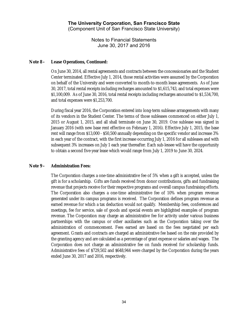Notes to Financial Statements June 30, 2017 and 2016

#### **Note 8 - Lease Operations, Continued:**

On June 30, 2014, all rental agreements and contracts between the concessionaries and the Student Center terminated. Effective July 1, 2014, those rental activities were assumed by the Corporation on behalf of the University and were converted to month-to-month lease agreements. As of June 30, 2017, total rental receipts including recharges amounted to \$1,615,743, and total expenses were \$1,100,009. As of June 30, 2016, total rental receipts including recharges amounted to \$1,534,700, and total expenses were \$1,253,700.

During fiscal year 2016, the Corporation entered into long-term sublease arrangements with many of its vendors in the Student Center. The terms of those subleases commenced on either July 1, 2015 or August 1, 2015, and all shall terminate on June 30, 2019. One sublease was signed in January 2016 (with new base rent effective on February 1, 2016). Effective July 1, 2015, the base rent will range from \$13,000 - \$50,500 annually depending on the specific vendor and increase 3% in each year of the contract, with the first increase occurring July 1, 2016 for all subleases and with subsequent 3% increases on July 1 each year thereafter. Each sub-lessee will have the opportunity to obtain a second five-year lease which would range from July 1, 2019 to June 30, 2024.

#### **Note 9 - Administration Fees:**

The Corporation charges a one-time administrative fee of 5% when a gift is accepted, unless the gift is for a scholarship. Gifts are funds received from donor contributions, gifts and fundraising revenue that projects receive for their respective programs and overall campus fundraising efforts. The Corporation also charges a one-time administrative fee of 10% when program revenue generated under its campus programs is received. The Corporation defines program revenue as earned revenue for which a tax deduction would not qualify. Membership fees, conferences and meetings, fee for service, sale of goods and special events are highlighted examples of program revenue. The Corporation may charge an administrative fee for activity under various business partnerships with the campus or other auxiliaries such as the Corporation taking over the administration of commencement. Fees earned are based on the fees negotiated per each agreement. Grants and contracts are charged an administrative fee based on the rate provided by the granting agency and are calculated as a percentage of grant expense or salaries and wages. The Corporation does not charge an administrative fee on funds received for scholarship funds. Administrative fees of \$729,502 and \$648,944 were charged by the Corporation during the years ended June 30, 2017 and 2016, respectively.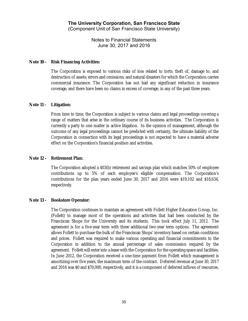Notes to Financial Statements June 30, 2017 and 2016

#### **Note 10 - Risk Financing Activities:**

The Corporation is exposed to various risks of loss related to torts: theft of, damage to, and destruction of assets; errors and omissions; and natural disasters for which the Corporation carries commercial insurance. The Corporation has not had any significant reduction in insurance coverage, and there have been no claims in excess of coverage, in any of the past three years.

#### **Note 11 - Litigation:**

From time to time, the Corporation is subject to various claims and legal proceedings covering a range of matters that arise in the ordinary course of its business activities. The Corporation is currently a party to one matter in active litigation. In the opinion of management, although the outcome of any legal proceedings cannot be predicted with certainty, the ultimate liability of the Corporation in connection with its legal proceedings is not expected to have a material adverse effect on the Corporation's financial position and activities.

#### **Note 12 - Retirement Plan:**

The Corporation adopted a 403(b) retirement and savings plan which matches 50% of employee contributions up to 5% of each employee's eligible compensation. The Corporation's contributions for the plan years ended June 30, 2017 and 2016 were \$19,102 and \$18,634, respectively.

#### **Note 13 - Bookstore Operator:**

The Corporation continues to maintain an agreement with Follett Higher Education Group, Inc. (Follett) to manage most of the operations and activities that had been conducted by the Franciscan Shops for the University and its students. This took effect July 11, 2012. The agreement is for a five-year term with three additional two-year term options. The agreement allows Follett to purchase the bulk of the Franciscan Shops' inventory based on certain conditions and prices. Follett was required to make various operating and financial commitments to the Corporation in addition to the annual percentage of sales commission required by the agreement. Follett will enter into a lease with the Corporation for the operating space and facilities. In June 2012, the Corporation received a one-time payment from Follett which management is amortizing over five years, the maximum term of the contract. Deferred revenue at June 30, 2017 and 2016 was \$0 and \$70,000, respectively, and it is a component of deferred inflows of resources.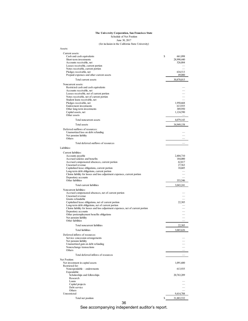#### **The University Corporation, San Francisco State** Schedule of Net Position

June 30, 2017

(for inclusion in the California State University)

| Assets:                                                                                                                                                                                                                                                                                                                                                                                                                                                                    |                                                               |
|----------------------------------------------------------------------------------------------------------------------------------------------------------------------------------------------------------------------------------------------------------------------------------------------------------------------------------------------------------------------------------------------------------------------------------------------------------------------------|---------------------------------------------------------------|
| Current assets:<br>Cash and cash equivalents<br>Short-term investments<br>Accounts receivable, net<br>Leases receivable, current portion<br>Notes receivable, current portion<br>Pledges receivable, net<br>Prepaid expenses and other current assets                                                                                                                                                                                                                      | \$<br>661,098<br>28,998,440<br>526,884<br>634,513<br>49,080   |
|                                                                                                                                                                                                                                                                                                                                                                                                                                                                            |                                                               |
| Total current assets                                                                                                                                                                                                                                                                                                                                                                                                                                                       | 30,870,015                                                    |
| Noncurrent assets:<br>Restricted cash and cash equivalents<br>Accounts receivable, net<br>Leases receivable, net of current portion<br>Notes receivable, net of current portion<br>Student loans receivable, net<br>Pledges receivable, net<br><b>Endowment</b> investments<br>Other long-term investments<br>Capital assets, net<br>Other assets                                                                                                                          | 1,950,668<br>613.935<br>389,950<br>1,124,590                  |
| Total noncurrent assets                                                                                                                                                                                                                                                                                                                                                                                                                                                    | 4,079,143                                                     |
| Total assets                                                                                                                                                                                                                                                                                                                                                                                                                                                               | 34,949,158                                                    |
| Deferred outflows of resources:<br>Unamortized loss on debt refunding<br>Net pension liability<br>Others<br>Total deferred outflows of resources                                                                                                                                                                                                                                                                                                                           |                                                               |
|                                                                                                                                                                                                                                                                                                                                                                                                                                                                            |                                                               |
| Liabilities:                                                                                                                                                                                                                                                                                                                                                                                                                                                               |                                                               |
| Current liabilities:<br>Accounts payable<br>Accrued salaries and benefits<br>Accrued compensated absences, current portion<br>Unearned revenue<br>Capitalized lease obligations, current portion<br>Long-term debt obligations, current portion<br>Claims liability for losses and loss adjustment expenses, current portion<br>Depository accounts<br>Other liabilities                                                                                                   | 2,404,710<br>184,000<br>62,817<br>27,563<br>10,605<br>353,546 |
|                                                                                                                                                                                                                                                                                                                                                                                                                                                                            |                                                               |
| Total current liabilities<br>Noncurrent liabilities:<br>Accrued compensated absences, net of current portion<br>Unearned revenue<br>Grants refundable<br>Capitalized lease obligations, net of current portion<br>Long-term debt obligations, net of current portion<br>Claims liability for losses and loss adjustment expenses, net of current portion<br>Depository accounts<br>Other postemployment benefits obligations<br>Net pension liability<br>Other liabilities | 3,043,241<br>22,385                                           |
| Total noncurrent liabilities                                                                                                                                                                                                                                                                                                                                                                                                                                               | 22,385                                                        |
| Total liabilities                                                                                                                                                                                                                                                                                                                                                                                                                                                          | 3,065,626                                                     |
| Deferred inflows of resources:<br>Service concession arrangements<br>Net pension liability<br>Unamortized gain on debt refunding<br>Nonexchange transactions<br>Others                                                                                                                                                                                                                                                                                                     |                                                               |
| Total deferred inflows of resources                                                                                                                                                                                                                                                                                                                                                                                                                                        |                                                               |
| Net Position:<br>Net investment in capital assets<br>Restricted for:<br>Nonexpendable - endowments<br>Expendable:<br>Scholarships and fellowships<br>Research<br>Loans<br>Capital projects                                                                                                                                                                                                                                                                                 | 1,091,600<br>613,935<br>20,763,209                            |
| Debt service<br>Others                                                                                                                                                                                                                                                                                                                                                                                                                                                     |                                                               |
| Unrestricted<br>Total net position                                                                                                                                                                                                                                                                                                                                                                                                                                         | \$<br>9,414,788<br>31,883,532                                 |

36

See accompanying independent auditor's report.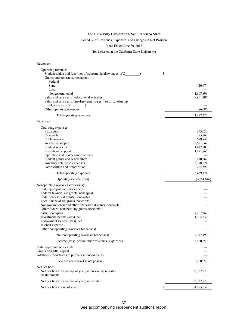#### Schedule of Revenues, Expenses, and Changes in Net Position

Year Ended June 30, 2017

(for inclusion in the California State University)

Revenues:

| Operating revenues:<br>Student tuition and fees (net of scholarship allowances of \$<br>Grants and contracts, noncapital:<br>Federal<br><b>State</b><br>Local<br>Nongovernmental<br>Sales and services of educational activities<br>Sales and services of auxiliary enterprises (net of scholarship<br>allowances of \$<br>Other operating revenues                                                                                                                      | \$<br>20,674<br>1,808,809<br>9,961,106<br>86,686                                                          |
|--------------------------------------------------------------------------------------------------------------------------------------------------------------------------------------------------------------------------------------------------------------------------------------------------------------------------------------------------------------------------------------------------------------------------------------------------------------------------|-----------------------------------------------------------------------------------------------------------|
| Total operating revenues                                                                                                                                                                                                                                                                                                                                                                                                                                                 | 11,877,275                                                                                                |
| Expenses:                                                                                                                                                                                                                                                                                                                                                                                                                                                                |                                                                                                           |
| Operating expenses:<br>Instruction<br>Research<br>Public service<br>Academic support<br>Student services<br>Institutional support<br>Operation and maintenance of plant<br>Student grants and scholarships<br>Auxiliary enterprise expenses<br>Depreciation and amortization                                                                                                                                                                                             | 855,620<br>283,867<br>699,847<br>2,681,642<br>1,412,900<br>1,181,865<br>2,110,267<br>5,978,521<br>224,592 |
| Total operating expenses                                                                                                                                                                                                                                                                                                                                                                                                                                                 | 15,429,121                                                                                                |
| Operating income (loss)                                                                                                                                                                                                                                                                                                                                                                                                                                                  | (3,551,846)                                                                                               |
| Nonoperating revenues (expenses):<br>State appropriations, noncapital<br>Federal financial aid grants, noncapital<br>State financial aid grants, noncapital<br>Local financial aid grants, noncapital<br>Nongovernmental and other financial aid grants, noncapital<br>Other federal nonoperating grants, noncapital<br>Gifts, noncapital<br>Investment income (loss), net<br>Endowment income (loss), net<br>Interest expense<br>Other nonoperating revenues (expenses) | 7,807,962<br>1,904,537                                                                                    |
| Net nonoperating revenues (expenses)                                                                                                                                                                                                                                                                                                                                                                                                                                     | 9,712,499                                                                                                 |
| Income (loss) before other revenues (expenses)                                                                                                                                                                                                                                                                                                                                                                                                                           | 6,160,653                                                                                                 |
| State appropriations, capital<br>Grants and gifts, capital<br>Additions (reductions) to permanent endowments                                                                                                                                                                                                                                                                                                                                                             |                                                                                                           |
| Increase (decrease) in net position                                                                                                                                                                                                                                                                                                                                                                                                                                      | 6,160,653                                                                                                 |
| Net position:<br>Net position at beginning of year, as previously reported<br>Restatements                                                                                                                                                                                                                                                                                                                                                                               | 25,722,879                                                                                                |
| Net position at beginning of year, as restated                                                                                                                                                                                                                                                                                                                                                                                                                           | 25,722,879                                                                                                |
| Net position at end of year                                                                                                                                                                                                                                                                                                                                                                                                                                              | \$<br>31,883,532                                                                                          |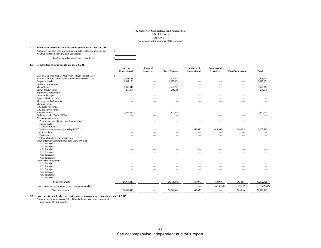#### **1 Noncurrent restricted cash and cash equivalents at June 30, 2017:**

Portion of restricted cash and cash equivalents related to endowments  $\$\$$ All other restricted cash and cash equivalents

Total restricted cash and cash equivalents  $\$\$$ 

#### **2.1 Composition of investments at June 30, 2017:**

|                                                          | Current<br>Unrestricted                   | Current<br>Restricted | <b>Total Current</b> | Noncurrent<br>Unrestricted | <b>Noncurrent</b><br><b>Restricted</b> | <b>Total Noncurrent</b> | Total      |
|----------------------------------------------------------|-------------------------------------------|-----------------------|----------------------|----------------------------|----------------------------------------|-------------------------|------------|
| State of California Surplus Money Investment Fund (SMIF) | <sup>\$</sup><br>$\overline{\phantom{m}}$ | -                     | -                    | -                          | $\overline{\phantom{a}}$               |                         |            |
| State of California Local Agency Investment Fund (LAIF)  | 7,478,143                                 |                       | 7,478,143            |                            |                                        |                         | 7,478,143  |
| Corporate bonds                                          | 8,917,156                                 |                       | 8,917,156            |                            |                                        |                         | 8,917,156  |
| Certificates of deposit                                  |                                           | -                     |                      |                            |                                        | -                       |            |
| Mutual funds                                             | 4,992,347                                 | -                     | 4,992,347            |                            |                                        |                         | 4,992,347  |
| Money Market funds                                       | 268,068                                   | -                     | 268,068              |                            |                                        |                         | 268,068    |
| Repurchase agreements                                    |                                           | -                     | -                    |                            | -                                      | -                       |            |
| Commercial paper                                         |                                           |                       |                      |                            |                                        |                         |            |
| Asset backed securities                                  |                                           |                       |                      |                            |                                        |                         |            |
| Mortgage backed securities                               |                                           |                       |                      |                            |                                        |                         |            |
| Municipal bonds                                          |                                           |                       |                      |                            |                                        |                         |            |
| U.S. agency securities                                   |                                           |                       |                      |                            |                                        |                         |            |
| U.S. treasury securities                                 |                                           |                       | -                    |                            |                                        |                         |            |
| Equity securities                                        | 7,342,726                                 | -                     | 7,342,726            |                            |                                        | -                       | 7,342,726  |
| Exchange traded funds (ETFs)                             |                                           |                       |                      |                            |                                        |                         |            |
| Alternative investments:                                 |                                           |                       |                      |                            |                                        |                         |            |
| Private equity (including limited partnerships)          |                                           |                       |                      |                            |                                        |                         |            |
| Hedge funds                                              |                                           |                       |                      |                            |                                        |                         |            |
| Managed futures                                          |                                           |                       |                      |                            | $\overline{\phantom{m}}$               |                         |            |
| Real estate investments (including REITs)                |                                           |                       |                      | 389,950                    | 613,935                                | 1,003,885               | 1,003,885  |
| Commodities                                              |                                           |                       | -                    |                            | -                                      |                         |            |
| Derivatives                                              |                                           |                       | -                    | -                          |                                        |                         |            |
| Other alternative investment types                       |                                           |                       |                      |                            |                                        |                         |            |
| Other external investment pools (excluding SWIFT)        |                                           |                       |                      |                            |                                        |                         |            |
| Add description                                          |                                           |                       |                      |                            |                                        |                         |            |
| Add description                                          |                                           |                       |                      |                            |                                        |                         |            |
| Add description                                          |                                           |                       |                      |                            |                                        |                         |            |
| Add description                                          |                                           |                       | -                    |                            |                                        |                         |            |
| Add description                                          |                                           |                       |                      |                            |                                        |                         |            |
| Add description                                          |                                           |                       |                      |                            |                                        |                         |            |
| Other major investments:                                 |                                           |                       |                      |                            |                                        |                         |            |
| Add description                                          |                                           |                       |                      |                            |                                        |                         |            |
| Add description                                          |                                           |                       |                      |                            |                                        |                         |            |
| Add description                                          |                                           |                       |                      |                            |                                        |                         |            |
| Add description                                          |                                           |                       |                      |                            |                                        |                         |            |
| Add description                                          |                                           |                       |                      |                            |                                        |                         |            |
| Add description                                          |                                           | -                     |                      |                            |                                        |                         |            |
| Total investments                                        | 28,998,440                                |                       | 28,998,440           | 389,950                    | 613,935                                | 1,003,885               | 30,002,325 |
| Less endowment investments (enter as negative number)    |                                           |                       |                      |                            | (613, 935)                             | (613,935)               | (613,935)  |
| Total investments                                        | 28,998,440                                |                       | 28,998,440           | 389,950                    |                                        | 389,950                 | 29,388,390 |
|                                                          |                                           |                       |                      |                            |                                        |                         |            |

### 2.2 Investments held by the University under contractual agreements at June 30, 2017:<br>Portion of investments in note 2.1 held by the University under contractual

agreements at June 30, 2017 :  $\qquad -$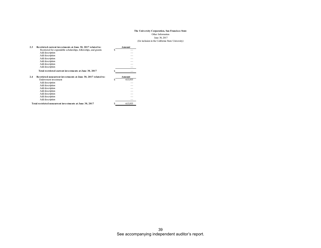| 2.3 | Restricted current investments at June 30, 2017 related to:     |    | Amount  |
|-----|-----------------------------------------------------------------|----|---------|
|     | Restricted for expendable scholarships, fellowships, and gramts | S  |         |
|     | Add description                                                 |    |         |
|     | Add description                                                 |    |         |
|     | Add description                                                 |    |         |
|     | Add description                                                 |    |         |
|     | Add description                                                 |    |         |
|     | Add description                                                 |    |         |
|     | Total restricted current investments at June 30, 2017           |    |         |
|     |                                                                 |    |         |
| 2.4 | Restricted noncurrent investments at June 30, 2017 related to:  |    | Amount  |
|     | Endowment investment                                            | \$ | 613,935 |
|     | Add description                                                 |    |         |
|     | Add description                                                 |    |         |
|     | Add description                                                 |    |         |
|     | Add description                                                 |    |         |
|     | Add description                                                 |    |         |
|     | Add description                                                 |    |         |
|     | Add description                                                 |    |         |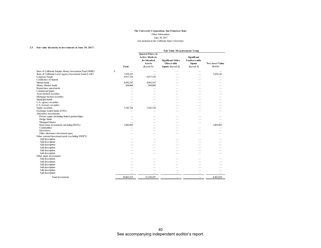#### **2.5 Fair value hierarchy in investments at June 30, 2017:**

| Pair value merarchy in investments at June 50, 2017.           |            | <b>Fair Value Measurements Using</b>                                                     |                                                            |                                                           |                                 |  |  |
|----------------------------------------------------------------|------------|------------------------------------------------------------------------------------------|------------------------------------------------------------|-----------------------------------------------------------|---------------------------------|--|--|
|                                                                | Total      | <b>Ouoted Prices in</b><br><b>Active Markets</b><br>for Identical<br>Assets<br>(Level 1) | <b>Significant Other</b><br>Observable<br>Inputs (Level 2) | Significant<br>Unobservable<br><b>Inputs</b><br>(Level 3) | <b>Net Asset Value</b><br>(NAV) |  |  |
| State of California Surplus Money Investment Fund (SMIF)<br>\$ |            |                                                                                          |                                                            |                                                           |                                 |  |  |
| State of California Local Agency Investment Fund (LAIF)        | 7,478,143  |                                                                                          |                                                            |                                                           | 7,478,143                       |  |  |
| Corporate bonds                                                | 8,917,156  | 8,917,156                                                                                |                                                            |                                                           |                                 |  |  |
| Certificates of deposit                                        | -          |                                                                                          |                                                            |                                                           |                                 |  |  |
| Mutual funds                                                   | 4,992,347  | 4,992,347                                                                                | -                                                          |                                                           |                                 |  |  |
| Money Market funds                                             | 268,068    | 268,068                                                                                  |                                                            |                                                           |                                 |  |  |
| Repurchase agreements                                          |            |                                                                                          |                                                            |                                                           |                                 |  |  |
| Commercial paper                                               |            |                                                                                          | -                                                          |                                                           |                                 |  |  |
| Asset backed securities                                        |            |                                                                                          |                                                            |                                                           |                                 |  |  |
| Mortgage backed securities                                     |            |                                                                                          | -                                                          |                                                           |                                 |  |  |
| Municipal bonds                                                |            |                                                                                          |                                                            |                                                           |                                 |  |  |
| U.S. agency securities<br>U.S. treasury securities             |            | -                                                                                        | -                                                          |                                                           |                                 |  |  |
| Equity securities                                              | 7,342,726  | 7,342,726                                                                                |                                                            |                                                           |                                 |  |  |
| Exchange traded funds (ETFs)                                   |            |                                                                                          | -                                                          | -                                                         |                                 |  |  |
| Alternative investments:                                       |            |                                                                                          |                                                            |                                                           |                                 |  |  |
| Private equity (including limited partnerships)                |            |                                                                                          |                                                            |                                                           |                                 |  |  |
| Hedge funds                                                    |            |                                                                                          |                                                            |                                                           |                                 |  |  |
| Managed futures                                                |            |                                                                                          | -                                                          |                                                           |                                 |  |  |
| Real estate investments (including REITs)                      | 1,003,885  |                                                                                          |                                                            |                                                           | 1,003,885                       |  |  |
| Commodities                                                    |            |                                                                                          |                                                            |                                                           |                                 |  |  |
| Derivatives                                                    |            |                                                                                          |                                                            |                                                           |                                 |  |  |
| Other alternative investment types                             |            |                                                                                          |                                                            |                                                           |                                 |  |  |
| Other external investment pools (excluding SWIFT)              |            |                                                                                          |                                                            |                                                           |                                 |  |  |
| Add description                                                |            |                                                                                          |                                                            |                                                           |                                 |  |  |
| Add description                                                |            |                                                                                          |                                                            |                                                           |                                 |  |  |
| Add description                                                |            |                                                                                          |                                                            |                                                           |                                 |  |  |
| Add description                                                |            |                                                                                          |                                                            |                                                           |                                 |  |  |
| Add description                                                |            |                                                                                          | -                                                          |                                                           |                                 |  |  |
| Add description                                                |            |                                                                                          |                                                            |                                                           |                                 |  |  |
| Other major investments:                                       |            |                                                                                          |                                                            |                                                           |                                 |  |  |
| Add description<br>Add description                             |            |                                                                                          |                                                            |                                                           |                                 |  |  |
| Add description                                                |            |                                                                                          |                                                            |                                                           |                                 |  |  |
| Add description                                                |            |                                                                                          |                                                            |                                                           |                                 |  |  |
| Add description                                                |            |                                                                                          |                                                            |                                                           |                                 |  |  |
| Add description                                                |            |                                                                                          |                                                            |                                                           |                                 |  |  |
| Total investments                                              | 30,002,325 | 21,520,297                                                                               |                                                            |                                                           | 8,482,028                       |  |  |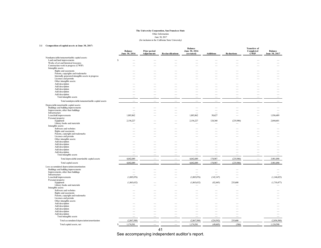#### **3.1 Composition of capital assets at June 30, 2017:**

| Composition of capital assets at June 30, 2017:                           | <b>Balance</b><br>June 30, 2016 | Prior period<br>Adjustments | <b>Reclassifications</b> | <b>Balance</b><br>June 30, 2016<br>(restated) | <b>Additions</b>                                     | <b>Reductions</b>        | <b>Transfers of</b><br>Completed<br><b>CWIP</b> | <b>Balance</b><br>June 30, 2017 |
|---------------------------------------------------------------------------|---------------------------------|-----------------------------|--------------------------|-----------------------------------------------|------------------------------------------------------|--------------------------|-------------------------------------------------|---------------------------------|
| Nondepreciable/nonamortizable capital assets:                             |                                 |                             |                          |                                               |                                                      |                          |                                                 |                                 |
| Land and land improvements                                                | <sup>\$</sup>                   |                             |                          |                                               |                                                      |                          |                                                 |                                 |
| Works of art and historical treasures                                     | $\overline{\phantom{0}}$        |                             |                          | $\overline{\phantom{0}}$                      | $\overline{\phantom{0}}$                             |                          | $\overline{\phantom{0}}$                        |                                 |
| Construction work in progress (CWIP)                                      |                                 |                             |                          |                                               | $\equiv$                                             |                          |                                                 |                                 |
| Intangible assets:                                                        |                                 |                             |                          |                                               |                                                      |                          |                                                 |                                 |
| Rights and easements<br>Patents, copyrights and trademarks                |                                 |                             |                          | $\overline{\phantom{0}}$                      | -<br>$\overline{\phantom{0}}$                        |                          |                                                 |                                 |
| Internally generated intangible assets in progress                        |                                 |                             |                          | -                                             | $\overline{\phantom{0}}$                             |                          |                                                 |                                 |
| Licenses and permits                                                      |                                 |                             |                          |                                               |                                                      |                          |                                                 |                                 |
| Other intangible assets:                                                  |                                 |                             |                          |                                               |                                                      |                          |                                                 |                                 |
| Add description                                                           |                                 |                             |                          |                                               |                                                      |                          |                                                 |                                 |
| Add description                                                           |                                 |                             |                          |                                               |                                                      |                          |                                                 |                                 |
| Add description<br>Add description                                        |                                 |                             |                          |                                               |                                                      |                          |                                                 | $\overline{\phantom{0}}$        |
| Add description                                                           |                                 |                             |                          |                                               |                                                      |                          |                                                 |                                 |
| Total intangible assets                                                   | $\overline{\phantom{0}}$        |                             |                          |                                               | ÷,                                                   |                          |                                                 | $\overline{\phantom{0}}$        |
| Total nondepreciable/nonamortizable capital assets                        | $\overline{\phantom{0}}$        | $\overline{\phantom{a}}$    |                          | $\overline{\phantom{0}}$                      | $\overline{\phantom{a}}$                             | $\overline{\phantom{a}}$ | $\overline{\phantom{0}}$                        |                                 |
| Depreciable/amortizable capital assets:                                   |                                 |                             |                          |                                               |                                                      |                          |                                                 |                                 |
| Buildings and building improvements                                       | $\overline{\phantom{0}}$        |                             |                          |                                               | $\overline{\phantom{0}}$                             |                          |                                                 |                                 |
| Improvements, other than buildings                                        | $\overline{\phantom{0}}$        |                             |                          | $\overline{\phantom{0}}$                      | $\overline{\phantom{0}}$                             |                          |                                                 |                                 |
| Infrastructure                                                            |                                 |                             |                          |                                               |                                                      |                          | $\overline{\phantom{a}}$                        |                                 |
| Leasehold improvements<br>Personal property:                              | 1,885,862                       |                             |                          | 1,885,862                                     | 50,627                                               |                          | $\overline{\phantom{a}}$                        | 1,936,489                       |
| Equipment                                                                 | 2,156,227                       |                             |                          | 2,156,227                                     | 124,360                                              | (235,986)                |                                                 | 2,044,601                       |
| Library books and materials                                               |                                 |                             |                          |                                               |                                                      |                          |                                                 |                                 |
| Intangible assets:                                                        |                                 |                             |                          |                                               |                                                      |                          |                                                 |                                 |
| Software and websites                                                     |                                 |                             |                          |                                               |                                                      |                          |                                                 |                                 |
| Rights and easements                                                      |                                 |                             |                          | $\overline{\phantom{0}}$                      | $\overline{\phantom{0}}$                             |                          | $\overline{\phantom{0}}$                        |                                 |
| Patents, copyright and trademarks                                         |                                 |                             |                          | $\overline{\phantom{0}}$                      | $\overline{\phantom{0}}$                             |                          |                                                 |                                 |
| Licenses and permits<br>Other intangible assets:                          |                                 |                             |                          |                                               |                                                      |                          |                                                 |                                 |
| Add description                                                           |                                 |                             |                          |                                               |                                                      |                          |                                                 |                                 |
| Add description                                                           |                                 |                             |                          |                                               |                                                      |                          |                                                 |                                 |
| Add description                                                           |                                 |                             |                          | $\overline{\phantom{0}}$                      | ÷,                                                   |                          | $\overline{\phantom{0}}$                        | $\overline{\phantom{0}}$        |
| Add description                                                           | $\overline{\phantom{0}}$        |                             | -                        | $\overline{\phantom{0}}$                      | $\overline{\phantom{0}}$                             |                          | $\overline{\phantom{0}}$                        | $\overline{\phantom{0}}$        |
| Add description                                                           | $\overline{\phantom{0}}$        |                             |                          | $\overline{\phantom{0}}$                      | $\overline{\phantom{0}}$                             |                          | $\overline{\phantom{0}}$                        |                                 |
| Total intangible assets                                                   |                                 |                             |                          |                                               |                                                      |                          |                                                 |                                 |
| Total depreciable/amortizable capital assets                              | 4,042,089                       |                             | $\overline{\phantom{0}}$ | 4,042,089                                     | 174,987                                              | (235,986)                | $\overline{\phantom{0}}$                        | 3,981,090                       |
| Total capital assets                                                      | 4.042.089                       |                             | $\overline{\phantom{0}}$ | 4,042,089                                     | 174,987                                              | (235,986)                | $\overline{\phantom{0}}$                        | 3,981,090                       |
| Less accumulated depreciation/amortization:                               |                                 |                             |                          |                                               |                                                      |                          |                                                 |                                 |
| Buildings and building improvements<br>Improvements, other than buildings | $\overline{\phantom{a}}$        |                             |                          |                                               | $\overline{\phantom{0}}$                             |                          |                                                 |                                 |
| Infrastructure                                                            |                                 |                             |                          |                                               |                                                      |                          |                                                 |                                 |
| Leasehold improvements                                                    | (1,003,876)                     |                             |                          | (1,003,876)                                   | (142, 147)                                           |                          |                                                 | (1,146,023)                     |
| Personal property:                                                        |                                 |                             |                          |                                               |                                                      |                          |                                                 |                                 |
| Equipment                                                                 | (1,863,632)                     |                             |                          | (1,863,632)                                   | (82, 445)                                            | 235,600                  |                                                 | (1,710,477)                     |
| Library books and materials                                               |                                 |                             |                          |                                               |                                                      |                          |                                                 |                                 |
| Intangible assets:                                                        |                                 |                             |                          |                                               |                                                      |                          |                                                 |                                 |
| Software and websites<br>Rights and easements                             |                                 |                             |                          |                                               |                                                      |                          |                                                 |                                 |
| Patents, copyright and trademarks                                         |                                 |                             |                          | $\overline{\phantom{0}}$                      | $\overline{\phantom{0}}$                             |                          |                                                 |                                 |
| Licenses and permits                                                      |                                 |                             |                          | $\overline{\phantom{0}}$                      |                                                      |                          |                                                 |                                 |
| Other intangible assets:                                                  |                                 |                             |                          |                                               |                                                      |                          |                                                 |                                 |
| Add description                                                           |                                 |                             |                          |                                               |                                                      |                          |                                                 |                                 |
| Add description                                                           |                                 |                             |                          |                                               |                                                      |                          |                                                 |                                 |
| Add description                                                           |                                 |                             |                          |                                               |                                                      |                          |                                                 |                                 |
| Add description<br>Add description                                        | $\overline{\phantom{0}}$        |                             |                          | $\overline{\phantom{0}}$                      | $\overline{\phantom{0}}$<br>$\overline{\phantom{a}}$ | -                        |                                                 | $\overline{\phantom{0}}$        |
| Total intangible assets                                                   | $\overline{\phantom{a}}$        |                             |                          |                                               | $\overline{\phantom{a}}$                             | ÷                        |                                                 |                                 |
| Total accumulated depreciation/amortization                               | (2,867,508)                     |                             |                          | (2,867,508)                                   | (224, 592)                                           | 235,600                  |                                                 | (2,856,500)                     |
| Total capital assets, net                                                 | 1,174,581                       |                             |                          | 1,174,581                                     | (49.605)                                             | (386)                    |                                                 | 1,124,590                       |
|                                                                           |                                 |                             |                          |                                               |                                                      |                          |                                                 |                                 |

41

See accompanying independent auditor's report.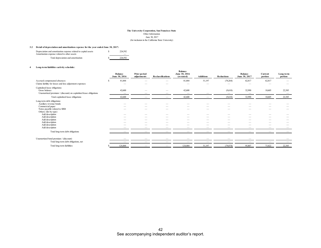June 30, 2017 Other Information (for inclusion in the California State University)

#### **3.2 Detail of depreciation and amortization expense for the year ended June 30, 2017:**

| Depreciation and amortization expense related to capital assets<br>Amortization expense related to other assets | 224.592 |
|-----------------------------------------------------------------------------------------------------------------|---------|
| Total depreciation and amortization                                                                             | 224.592 |

#### **4 Long-term liabilities activity schedule:**

|                                                                                                                                                                                                                                                        | <b>Balance</b><br>June 30, 2016 | Prior period<br>adjustments | Reclassifications | <b>Balance</b><br>June 30, 2016<br>(restated) | <b>Additions</b> | <b>Reductions</b>        | <b>Balance</b><br>June 30, 2017 | Current<br>portion | Long-term<br>portion |
|--------------------------------------------------------------------------------------------------------------------------------------------------------------------------------------------------------------------------------------------------------|---------------------------------|-----------------------------|-------------------|-----------------------------------------------|------------------|--------------------------|---------------------------------|--------------------|----------------------|
| Accrued compensated absences<br>Claims liability for losses and loss adjustment expenses                                                                                                                                                               | 81,884                          | $\overline{\phantom{a}}$    |                   | 81,884                                        | 51,197           | (70, 264)                | 62,817                          | 62,817             |                      |
| Capitalized lease obligations:<br>Gross balance<br>Unamortized premium / (discount) on capitalized lease obligations                                                                                                                                   | 42,600                          |                             |                   | 42,600                                        |                  | (9,610)                  | 32,990                          | 10,605             | 22,385               |
| Total capitalized lease obligations                                                                                                                                                                                                                    | 42,600                          |                             |                   | 42,600                                        |                  | (9,610)                  | 32,990                          | 10,605             | 22,385               |
| Long-term debt obligations:<br>Auxiliary revenue bonds<br>Commercial paper<br>Notes payable related to SRB<br>Others: (list by type)<br>Add description<br>Add description<br>Add description<br>Add description<br>Add description<br>Add description |                                 | $\overline{\phantom{a}}$    |                   |                                               |                  | $\overline{\phantom{a}}$ |                                 |                    |                      |
| Total long-term debt obligations                                                                                                                                                                                                                       |                                 |                             |                   |                                               |                  |                          |                                 |                    |                      |
| Unamortized bond premium / (discount)<br>Total long-term debt obligations, net                                                                                                                                                                         |                                 |                             |                   |                                               |                  |                          |                                 |                    |                      |
| Total long-term liabilities                                                                                                                                                                                                                            | 124,484                         |                             |                   | 124,484                                       | 51,197           | (79, 874)                | 95,807                          | 73,422             | 22,385               |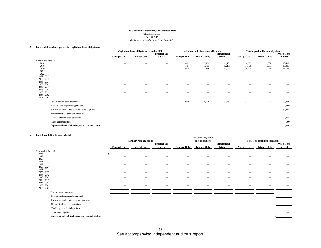#### **The University Corporation, San Francisco State** Other Information

June 30, 2017

(for inclusion in the California State University)

#### **5 Future minimum lease payments - capitalized lease obligations:**

|                                                      | Capitalized lease obligations related to SRB |                      | All other capitalized lease obligations              |                       |                          | Total capitalized lease obligations |                                                      |                          |               |
|------------------------------------------------------|----------------------------------------------|----------------------|------------------------------------------------------|-----------------------|--------------------------|-------------------------------------|------------------------------------------------------|--------------------------|---------------|
|                                                      |                                              |                      | Principal and                                        |                       |                          | Principal and                       |                                                      |                          | Principal and |
|                                                      | <b>Principal Only</b>                        | <b>Interest Only</b> | Interest                                             | <b>Principal Only</b> | <b>Interest Only</b>     | Interest                            | <b>Principal Only</b>                                | <b>Interest Only</b>     | Interest      |
| Year ending June 30:                                 |                                              |                      |                                                      |                       |                          |                                     |                                                      |                          |               |
| 2018                                                 |                                              |                      | $\hspace{0.05cm}$                                    | 10,605                | 2,801                    | 13,406                              | 10,605                                               | 2,801                    | 13,406        |
| 2019                                                 |                                              |                      |                                                      | 11,706                | 1,700                    | 13,406                              | 11,706                                               | 1,700                    | 13,406        |
| 2020                                                 |                                              |                      |                                                      | 10,679                | 493                      | 11,172                              | 10,679                                               | 493                      | 11,172        |
| 2021                                                 |                                              |                      |                                                      |                       |                          |                                     |                                                      |                          |               |
| 2022<br>$2023 - 2027$                                |                                              |                      | $\overline{\phantom{a}}$                             | –                     | $\overline{\phantom{a}}$ |                                     | $\overline{\phantom{a}}$                             | $\overline{\phantom{a}}$ |               |
| $2028 - 2032$                                        | -<br>$\overline{\phantom{a}}$                |                      | $\overline{\phantom{a}}$<br>$\overline{\phantom{a}}$ | –                     |                          |                                     | $\overline{\phantom{a}}$<br>$\overline{\phantom{m}}$ |                          |               |
| $2033 - 2037$                                        |                                              |                      | $\overline{\phantom{a}}$                             | _                     | $\overline{\phantom{a}}$ | $\overline{\phantom{a}}$            |                                                      |                          |               |
| $2038 - 2042$                                        | $\overline{\phantom{a}}$                     |                      | $\overline{\phantom{a}}$                             |                       |                          |                                     | $\overline{\phantom{a}}$                             |                          |               |
| $2043 - 2047$                                        |                                              |                      |                                                      |                       |                          |                                     |                                                      |                          |               |
| $2048 - 2052$                                        |                                              |                      |                                                      |                       | --                       | $\overline{\phantom{a}}$            |                                                      | --                       |               |
| $2053 - 2057$                                        |                                              |                      |                                                      |                       | --                       | $\overline{\phantom{a}}$            |                                                      |                          |               |
| $2058 - 2062$                                        |                                              |                      |                                                      |                       |                          |                                     |                                                      |                          |               |
| $2063 - 2067$                                        |                                              |                      |                                                      | __                    |                          |                                     |                                                      |                          |               |
| Total minimum lease payments                         | —                                            |                      | $\hspace{0.05cm}$                                    | 32,990                | 4,994                    | 37,984                              | 32,990                                               | 4,994                    | 37,984        |
| Less amounts representing interest                   |                                              |                      |                                                      |                       |                          |                                     |                                                      |                          | (4,994)       |
| Present value of future minimum lease payments       |                                              |                      |                                                      |                       |                          |                                     |                                                      |                          | 32,990        |
| Unamortized net premium (discount)                   |                                              |                      |                                                      |                       |                          |                                     |                                                      |                          |               |
| Total capitalized lease obligations                  |                                              |                      |                                                      |                       |                          |                                     |                                                      |                          | 32,990        |
| Less: current portion                                |                                              |                      |                                                      |                       |                          |                                     |                                                      |                          | (10,605)      |
| Capitalized lease obligation, net of current portion |                                              |                      |                                                      |                       |                          |                                     |                                                      |                          | 22,385        |

#### **6 Long-term debt obligation schedule**

| Long-term debt obligation senedule                 |   |                       |                         |               |                | All other long-term  |                          |                       |                                  |                          |
|----------------------------------------------------|---|-----------------------|-------------------------|---------------|----------------|----------------------|--------------------------|-----------------------|----------------------------------|--------------------------|
|                                                    |   |                       | Auxiliary revenue bonds |               |                | debt obligations     |                          |                       | Total long-term debt obligations |                          |
|                                                    |   |                       |                         | Principal and |                |                      | Principal and            |                       |                                  | Principal and            |
|                                                    |   | <b>Principal Only</b> | <b>Interest Only</b>    | Interest      | Principal Only | <b>Interest Only</b> | Interest                 | <b>Principal Only</b> | <b>Interest Only</b>             | Interest                 |
| Year ending June 30:                               |   |                       |                         |               |                |                      |                          |                       |                                  |                          |
| 2018                                               | s |                       |                         |               |                |                      |                          |                       |                                  |                          |
| 2019                                               |   |                       |                         |               |                |                      |                          |                       |                                  |                          |
| 2020                                               |   |                       |                         |               |                |                      | --                       |                       |                                  |                          |
| 2021                                               |   |                       | –                       |               |                |                      |                          |                       |                                  |                          |
| 2022<br>$2023 - 2027$                              |   |                       |                         |               |                |                      | -                        |                       |                                  |                          |
| $2028 - 2032$                                      |   |                       |                         |               | --             |                      |                          | -                     | --                               |                          |
| $2033 - 2037$                                      |   |                       |                         | --            |                |                      |                          |                       |                                  |                          |
| $2038 - 2042$                                      |   | --                    |                         | –             |                |                      |                          | -                     | –                                |                          |
| $2043 - 2047$                                      |   |                       |                         | __            |                |                      | $\overline{\phantom{a}}$ |                       | --                               |                          |
| $2048 - 2052$                                      |   |                       |                         | __            |                |                      | $\overline{\phantom{a}}$ |                       |                                  |                          |
| $2053 - 2057$                                      |   |                       |                         | __            |                |                      | $\overline{\phantom{a}}$ |                       |                                  |                          |
| $2058 - 2062$                                      |   |                       | __                      |               |                |                      |                          |                       |                                  | $\overline{\phantom{a}}$ |
| $2063 - 2067$                                      |   |                       |                         |               |                |                      |                          |                       |                                  |                          |
| Total minimum payments                             |   | -                     |                         | –             |                |                      |                          | --                    |                                  | –                        |
| Less amounts representing interest                 |   |                       |                         |               |                |                      |                          |                       |                                  |                          |
| Present value of future minimum payments           |   |                       |                         |               |                |                      |                          |                       |                                  |                          |
| Unamortized net premium (discount)                 |   |                       |                         |               |                |                      |                          |                       |                                  |                          |
| Total long-term debt obligations                   |   |                       |                         |               |                |                      |                          |                       |                                  |                          |
| Less: current portion                              |   |                       |                         |               |                |                      |                          |                       |                                  |                          |
|                                                    |   |                       |                         |               |                |                      |                          |                       |                                  |                          |
| Long-term debt obligations, net of current portion |   |                       |                         |               |                |                      |                          |                       |                                  |                          |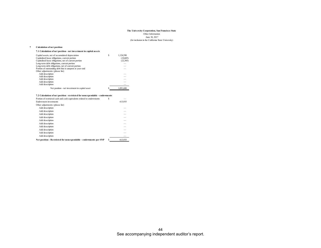June 30, 2017 Other Information (for inclusion in the California State University)

#### **7 Calculation of net position**

#### **7.1 Calculation of net position - net investment in capital assets**

| Capital assets, net of accumulated depreciation         | S | 1,124,590 |
|---------------------------------------------------------|---|-----------|
| Capitalized lease obligations, current portion          |   | (10,605)  |
| Capitalized lease obligations, net of current portion   |   | (22, 385) |
| Long-term debt obligations, current portion             |   |           |
| Long-term debt obligations, net of current portion      |   |           |
| Portion of outstanding debt that is unspent at year-end |   |           |
| Other adjustments: (please list)                        |   |           |
| Add description                                         |   |           |
| Add description                                         |   |           |
| Add description                                         |   |           |
| Add description                                         |   |           |
| Add description                                         |   |           |
| Net position - net investment in capital asset          |   | 1.091.600 |

#### **7.2 Calculation of net position - restricted for nonexpendable - endowments**

| Portion of restricted cash and cash equivalents related to endowments | S |         |
|-----------------------------------------------------------------------|---|---------|
| <b>Endowment</b> investments                                          |   | 613,935 |
| Other adjustments: (please list)                                      |   |         |
| Add description                                                       |   |         |
| Add description                                                       |   |         |
| Add description                                                       |   |         |
| Add description                                                       |   |         |
| Add description                                                       |   |         |
| Add description                                                       |   |         |
| Add description                                                       |   |         |
| Add description                                                       |   |         |
| Add description                                                       |   |         |
| Add description                                                       |   |         |
| Net position - Restricted for nonexpendable - endowments per SNP      | S | 613.935 |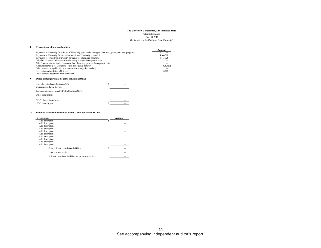June 30, 2017 Other Information (for inclusion in the California State University)

#### **8 Transactions with related entities**

| Transactions with related entities                                                                           |             |
|--------------------------------------------------------------------------------------------------------------|-------------|
|                                                                                                              | Amount      |
| Payments to University for salaries of University personnel working on contracts, grants, and other programs | 2.771.268   |
| Payments to University for other than salaries of University personnel                                       | 4.564.360   |
| Payments received from University for services, space, and programs                                          | 1,413,026   |
| Gifts-in-kind to the University from discretely presented component units                                    |             |
| Gifts (cash or assets) to the University from discretely presented component units                           |             |
| Accounts (payable to) University (enter as negative number)                                                  | (1,826,520) |
| Other amounts (payable to) University (enter as negative number)                                             |             |
| Accounts receivable from University                                                                          | 50,262      |
| Other amounts receivable from University                                                                     |             |

#### **9 Other postemployment benefits obligation (OPEB)**

| Annual required contribution (ARC)<br>Contributions during the year |  |
|---------------------------------------------------------------------|--|
| Increase (decrease) in net OPEB obligation (NOO)                    |  |
| Other adjustments                                                   |  |
| NOO - beginning of year                                             |  |
| NOO - end of year                                                   |  |

#### **10 Pollution remediation liabilities under GASB Statement No. 49:**

| Description                                              |   | Amount |
|----------------------------------------------------------|---|--------|
| Add description                                          |   |        |
| Add description                                          |   |        |
| Add description                                          |   |        |
| Add description                                          |   |        |
| Add description                                          |   |        |
| Add description                                          |   |        |
| Add description                                          |   |        |
| Add description                                          |   |        |
| Add description                                          |   |        |
| Add description                                          |   |        |
| Total pollution remediation liabilities                  | S |        |
| Less: current portion                                    |   |        |
| Pollution remedition liabilities, net of current portion |   |        |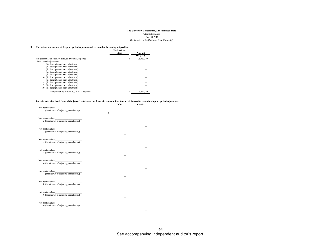June 30, 2017 Other Information (for inclusion in the California State University)

#### **11 The nature and amount of the prior period adjustment(s) recorded to beginning net position**

|                                                          | <b>Net Position</b> |                  |
|----------------------------------------------------------|---------------------|------------------|
|                                                          | <b>Class</b>        | Amount           |
|                                                          |                     | Dr. (Cr.)        |
| Net position as of June 30, 2016, as previously reported |                     | \$<br>25,722,879 |
| Prior period adjustments:                                |                     |                  |
| (list description of each adjustment)                    |                     |                  |
| 2 (list description of each adjustment)                  |                     |                  |
| (list description of each adjustment)<br>3               |                     |                  |
| (list description of each adjustment)<br>4               |                     |                  |
| (list description of each adjustment)<br>5.              |                     |                  |
| (list description of each adjustment)<br>6               |                     |                  |
| (list description of each adjustment)                    |                     |                  |
| (list description of each adjustment)<br>8               |                     |                  |
| (list description of each adjustment)<br>9               |                     |                  |
| (list description of each adjustment)<br>10              |                     |                  |
| Net position as of June 30, 2016, as restated            |                     | 25.722.879       |

#### Provide a detailed breakdown of the journal entries (at the financial statement line item level) booked to record each prior period adjustment:

|                                                                 | <b>Debit</b> | Credit |
|-----------------------------------------------------------------|--------------|--------|
| Net position class:<br>1 (breakdown of adjusting journal entry) | S            |        |
| Net position class:<br>2 (breakdown of adjusting journal entry) |              |        |
| Net position class:<br>3 (breakdown of adjusting journal entry) |              |        |
| Net position class:                                             |              |        |
| 4 (breakdown of adjusting journal entry)                        |              |        |
| Net position class:<br>5 (breakdown of adjusting journal entry) |              |        |
| Net position class:<br>6 (breakdown of adjusting journal entry) |              |        |
| Net position class:<br>7 (breakdown of adjusting journal entry) |              |        |
| Net position class:<br>8 (breakdown of adjusting journal entry) |              |        |
| Net position class:<br>9 (breakdown of adjusting journal entry) |              |        |
| Net position class:                                             |              |        |
| 10 (breakdown of adjusting journal entry)                       |              |        |

—